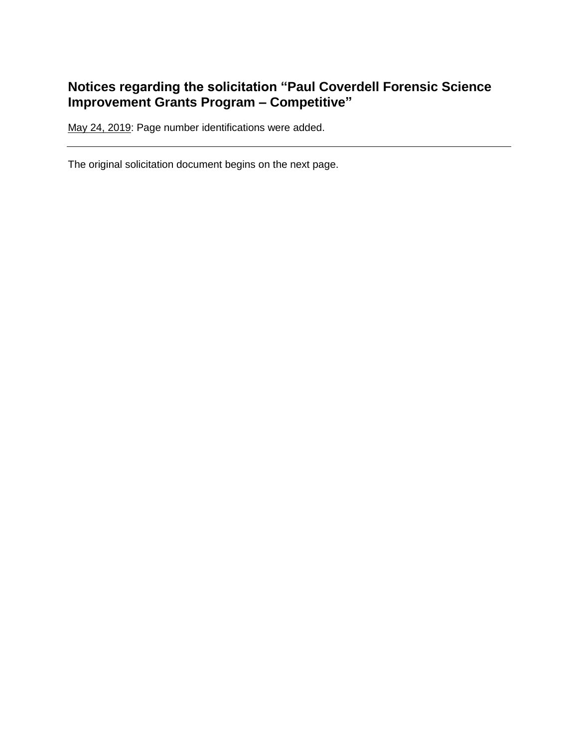# **Notices regarding the solicitation "Paul Coverdell Forensic Science Improvement Grants Program – Competitive"**

May 24, 2019: Page number identifications were added.

The original solicitation document begins on the next page.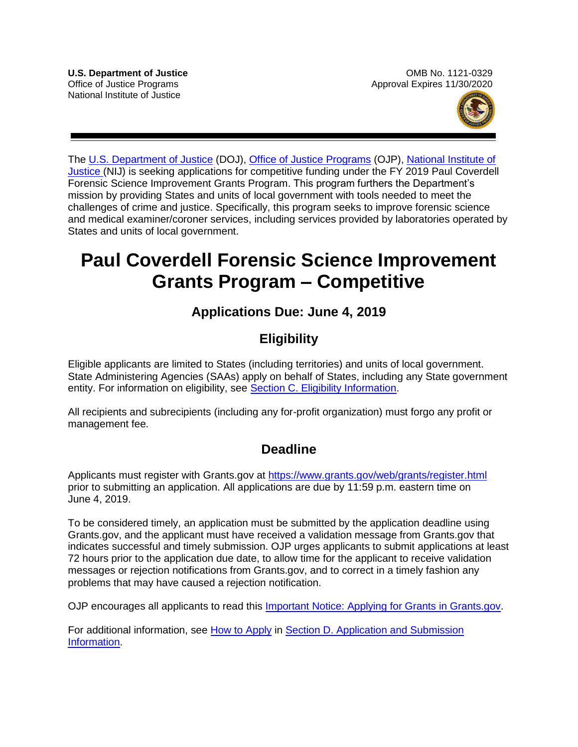

The [U.S. Department of Justice](https://www.usdoj.gov/) (DOJ), [Office of Justice Programs](https://www.ojp.usdoj.gov/) (OJP), [National Institute of](http://nij.gov/Pages/welcome.aspx)  [Justice](http://nij.gov/Pages/welcome.aspx) (NIJ) is seeking applications for competitive funding under the FY 2019 Paul Coverdell Forensic Science Improvement Grants Program. This program furthers the Department's mission by providing States and units of local government with tools needed to meet the challenges of crime and justice. Specifically, this program seeks to improve forensic science and medical examiner/coroner services, including services provided by laboratories operated by States and units of local government.

# **Paul Coverdell Forensic Science Improvement Grants Program – Competitive**

# **Applications Due: June 4, 2019**

# **Eligibility**

Eligible applicants are limited to States (including territories) and units of local government. State Administering Agencies (SAAs) apply on behalf of States, including any State government entity. For information on eligibility, see [Section C. Eligibility Information.](#page-13-0)

All recipients and subrecipients (including any for-profit organization) must forgo any profit or management fee.

# **Deadline**

Applicants must register with Grants.gov at <https://www.grants.gov/web/grants/register.html> prior to submitting an application. All applications are due by 11:59 p.m. eastern time on June 4, 2019.

To be considered timely, an application must be submitted by the application deadline using Grants.gov, and the applicant must have received a validation message from Grants.gov that indicates successful and timely submission. OJP urges applicants to submit applications at least 72 hours prior to the application due date, to allow time for the applicant to receive validation messages or rejection notifications from Grants.gov, and to correct in a timely fashion any problems that may have caused a rejection notification.

OJP encourages all applicants to read this **Important Notice: Applying for Grants in Grants.gov**.

For additional information, see [How to Apply](#page-33-0) in [Section D. Application and Submission](#page-19-0)  [Information.](#page-19-0)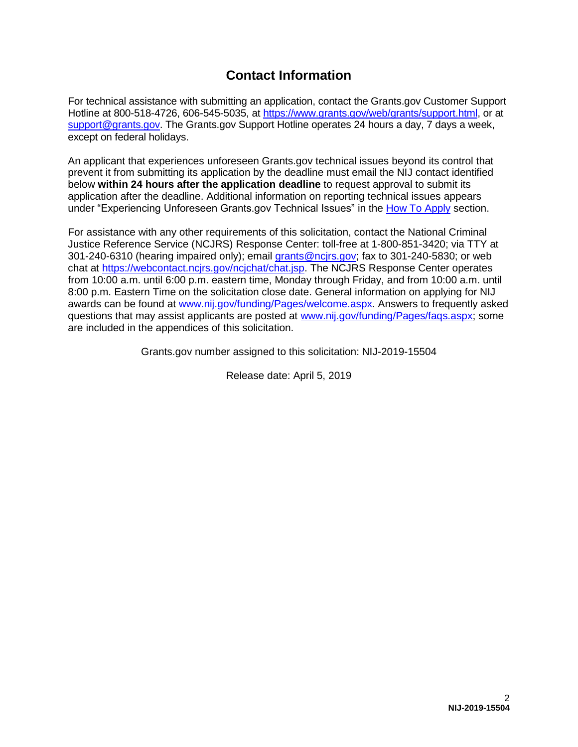# **Contact Information**

For technical assistance with submitting an application, contact the Grants.gov Customer Support Hotline at 800-518-4726, 606-545-5035, at [https://www.grants.gov/web/grants/support.html,](https://www.grants.gov/web/grants/support.html) or at [support@grants.gov.](mailto:support@grants.gov) The Grants.gov Support Hotline operates 24 hours a day, 7 days a week, except on federal holidays.

An applicant that experiences unforeseen Grants.gov technical issues beyond its control that prevent it from submitting its application by the deadline must email the NIJ contact identified below **within 24 hours after the application deadline** to request approval to submit its application after the deadline. Additional information on reporting technical issues appears under "Experiencing Unforeseen Grants.gov Technical Issues" in the [How To Apply](#page-33-0) section.

For assistance with any other requirements of this solicitation, contact the National Criminal Justice Reference Service (NCJRS) Response Center: toll-free at 1-800-851-3420; via TTY at 301-240-6310 (hearing impaired only); email [grants@ncjrs.gov;](mailto:grants@ncjrs.gov) fax to 301-240-5830; or web chat at [https://webcontact.ncjrs.gov/ncjchat/chat.jsp.](https://webcontact.ncjrs.gov/ncjchat/chat.jsp) The NCJRS Response Center operates from 10:00 a.m. until 6:00 p.m. eastern time, Monday through Friday, and from 10:00 a.m. until 8:00 p.m. Eastern Time on the solicitation close date. General information on applying for NIJ awards can be found at [www.nij.gov/funding/Pages/welcome.aspx.](http://www.nij.gov/funding/Pages/welcome.aspx) Answers to frequently asked questions that may assist applicants are posted at [www.nij.gov/funding/Pages/faqs.aspx;](http://www.nij.gov/funding/Pages/faqs.aspx) some are included in the appendices of this solicitation.

Grants.gov number assigned to this solicitation: NIJ-2019-15504

Release date: April 5, 2019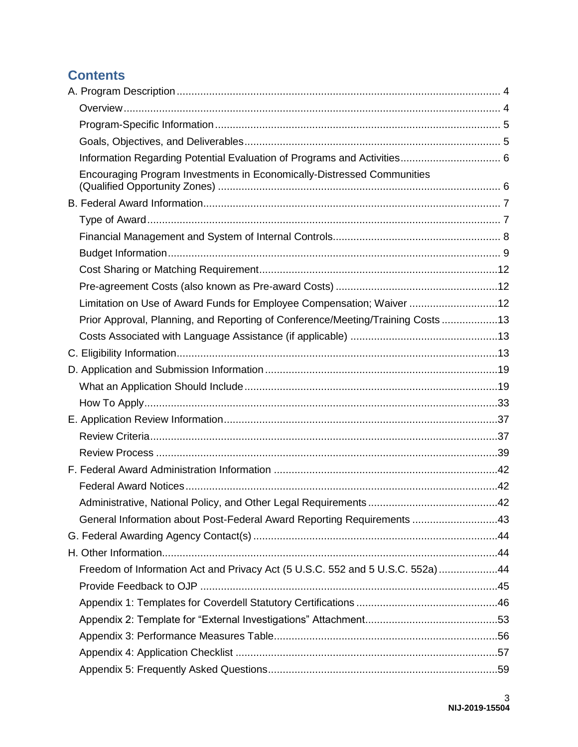# **Contents**

| Encouraging Program Investments in Economically-Distressed Communities         |  |
|--------------------------------------------------------------------------------|--|
|                                                                                |  |
|                                                                                |  |
|                                                                                |  |
|                                                                                |  |
|                                                                                |  |
|                                                                                |  |
| Limitation on Use of Award Funds for Employee Compensation; Waiver 12          |  |
| Prior Approval, Planning, and Reporting of Conference/Meeting/Training Costs13 |  |
|                                                                                |  |
|                                                                                |  |
|                                                                                |  |
|                                                                                |  |
|                                                                                |  |
|                                                                                |  |
|                                                                                |  |
|                                                                                |  |
|                                                                                |  |
|                                                                                |  |
|                                                                                |  |
| General Information about Post-Federal Award Reporting Requirements 43         |  |
|                                                                                |  |
|                                                                                |  |
| Freedom of Information Act and Privacy Act (5 U.S.C. 552 and 5 U.S.C. 552a) 44 |  |
|                                                                                |  |
|                                                                                |  |
|                                                                                |  |
|                                                                                |  |
|                                                                                |  |
|                                                                                |  |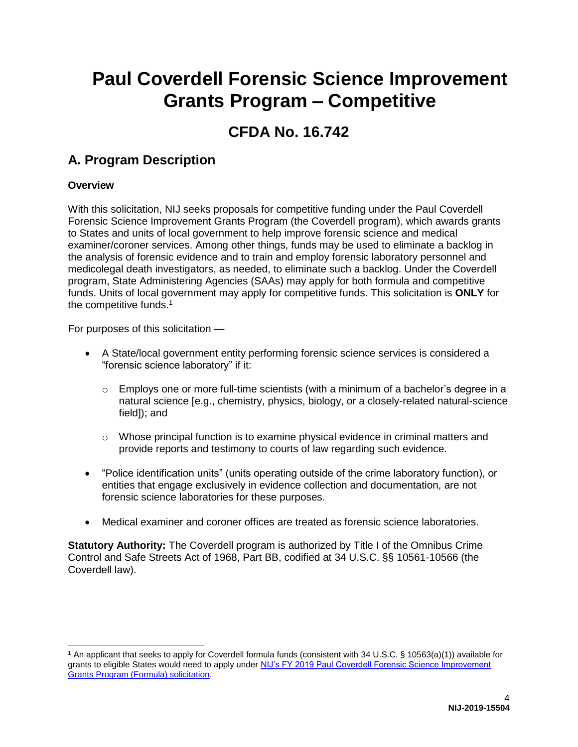# **Paul Coverdell Forensic Science Improvement Grants Program – Competitive**

# **CFDA No. 16.742**

# <span id="page-4-0"></span>**A. Program Description**

### <span id="page-4-1"></span>**Overview**

With this solicitation, NIJ seeks proposals for competitive funding under the Paul Coverdell Forensic Science Improvement Grants Program (the Coverdell program), which awards grants to States and units of local government to help improve forensic science and medical examiner/coroner services. Among other things, funds may be used to eliminate a backlog in the analysis of forensic evidence and to train and employ forensic laboratory personnel and medicolegal death investigators, as needed, to eliminate such a backlog. Under the Coverdell program, State Administering Agencies (SAAs) may apply for both formula and competitive funds. Units of local government may apply for competitive funds. This solicitation is **ONLY** for the competitive funds.<sup>1</sup>

For purposes of this solicitation —

- A State/local government entity performing forensic science services is considered a "forensic science laboratory" if it:
	- o Employs one or more full-time scientists (with a minimum of a bachelor's degree in a natural science [e.g., chemistry, physics, biology, or a closely-related natural-science field]); and
	- $\circ$  Whose principal function is to examine physical evidence in criminal matters and provide reports and testimony to courts of law regarding such evidence.
- "Police identification units" (units operating outside of the crime laboratory function), or entities that engage exclusively in evidence collection and documentation, are not forensic science laboratories for these purposes.
- Medical examiner and coroner offices are treated as forensic science laboratories.

**Statutory Authority:** The Coverdell program is authorized by Title I of the Omnibus Crime Control and Safe Streets Act of 1968, Part BB, codified at 34 U.S.C. §§ 10561-10566 (the Coverdell law).

<sup>1</sup> An applicant that seeks to apply for Coverdell formula funds (consistent with 34 U.S.C. § 10563(a)(1)) available for grants to eligible States would need to apply under NIJ's FY 2019 Paul Coverdell Forensic Science Improvement [Grants Program \(Formula\) solicitation.](https://nij.gov/funding/Documents/solicitations/NIJ-2019-15503.pdf)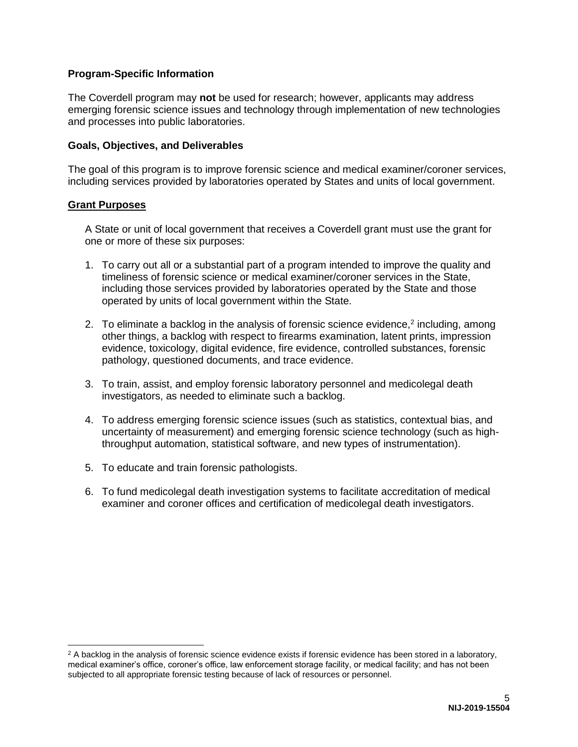#### <span id="page-5-0"></span>**Program-Specific Information**

The Coverdell program may **not** be used for research; however, applicants may address emerging forensic science issues and technology through implementation of new technologies and processes into public laboratories.

#### <span id="page-5-1"></span>**Goals, Objectives, and Deliverables**

The goal of this program is to improve forensic science and medical examiner/coroner services, including services provided by laboratories operated by States and units of local government.

#### **Grant Purposes**

A State or unit of local government that receives a Coverdell grant must use the grant for one or more of these six purposes:

- 1. To carry out all or a substantial part of a program intended to improve the quality and timeliness of forensic science or medical examiner/coroner services in the State, including those services provided by laboratories operated by the State and those operated by units of local government within the State.
- 2. To eliminate a backlog in the analysis of forensic science evidence, $2$  including, among other things, a backlog with respect to firearms examination, latent prints, impression evidence, toxicology, digital evidence, fire evidence, controlled substances, forensic pathology, questioned documents, and trace evidence.
- 3. To train, assist, and employ forensic laboratory personnel and medicolegal death investigators, as needed to eliminate such a backlog.
- 4. To address emerging forensic science issues (such as statistics, contextual bias, and uncertainty of measurement) and emerging forensic science technology (such as highthroughput automation, statistical software, and new types of instrumentation).
- 5. To educate and train forensic pathologists.
- 6. To fund medicolegal death investigation systems to facilitate accreditation of medical examiner and coroner offices and certification of medicolegal death investigators.

 $2$  A backlog in the analysis of forensic science evidence exists if forensic evidence has been stored in a laboratory, medical examiner's office, coroner's office, law enforcement storage facility, or medical facility; and has not been subjected to all appropriate forensic testing because of lack of resources or personnel.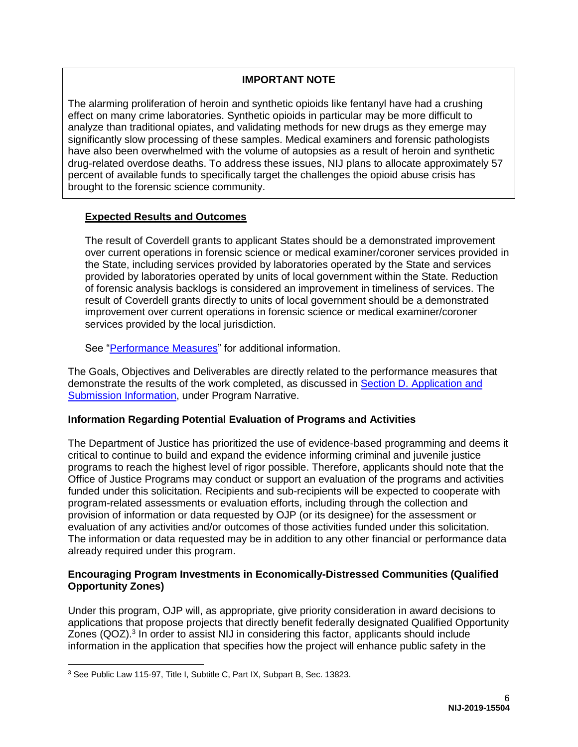#### **IMPORTANT NOTE**

The alarming proliferation of heroin and synthetic opioids like fentanyl have had a crushing effect on many crime laboratories. Synthetic opioids in particular may be more difficult to analyze than traditional opiates, and validating methods for new drugs as they emerge may significantly slow processing of these samples. Medical examiners and forensic pathologists have also been overwhelmed with the volume of autopsies as a result of heroin and synthetic drug-related overdose deaths. To address these issues, NIJ plans to allocate approximately 57 percent of available funds to specifically target the challenges the opioid abuse crisis has brought to the forensic science community.

#### **Expected Results and Outcomes**

The result of Coverdell grants to applicant States should be a demonstrated improvement over current operations in forensic science or medical examiner/coroner services provided in the State, including services provided by laboratories operated by the State and services provided by laboratories operated by units of local government within the State. Reduction of forensic analysis backlogs is considered an improvement in timeliness of services. The result of Coverdell grants directly to units of local government should be a demonstrated improvement over current operations in forensic science or medical examiner/coroner services provided by the local jurisdiction.

See ["Performance Measures"](#page-56-0) for additional information.

The Goals, Objectives and Deliverables are directly related to the performance measures that demonstrate the results of the work completed, as discussed in **Section D. Application and** [Submission Information,](#page-19-0) under Program Narrative.

#### <span id="page-6-0"></span>**Information Regarding Potential Evaluation of Programs and Activities**

The Department of Justice has prioritized the use of evidence-based programming and deems it critical to continue to build and expand the evidence informing criminal and juvenile justice programs to reach the highest level of rigor possible. Therefore, applicants should note that the Office of Justice Programs may conduct or support an evaluation of the programs and activities funded under this solicitation. Recipients and sub-recipients will be expected to cooperate with program-related assessments or evaluation efforts, including through the collection and provision of information or data requested by OJP (or its designee) for the assessment or evaluation of any activities and/or outcomes of those activities funded under this solicitation. The information or data requested may be in addition to any other financial or performance data already required under this program.

#### <span id="page-6-1"></span>**Encouraging Program Investments in Economically-Distressed Communities (Qualified Opportunity Zones)**

Under this program, OJP will, as appropriate, give priority consideration in award decisions to applications that propose projects that directly benefit federally designated Qualified Opportunity Zones (QOZ).<sup>3</sup> In order to assist NIJ in considering this factor, applicants should include information in the application that specifies how the project will enhance public safety in the

<sup>3</sup> See Public Law 115-97, Title I, Subtitle C, Part IX, Subpart B, Sec. 13823.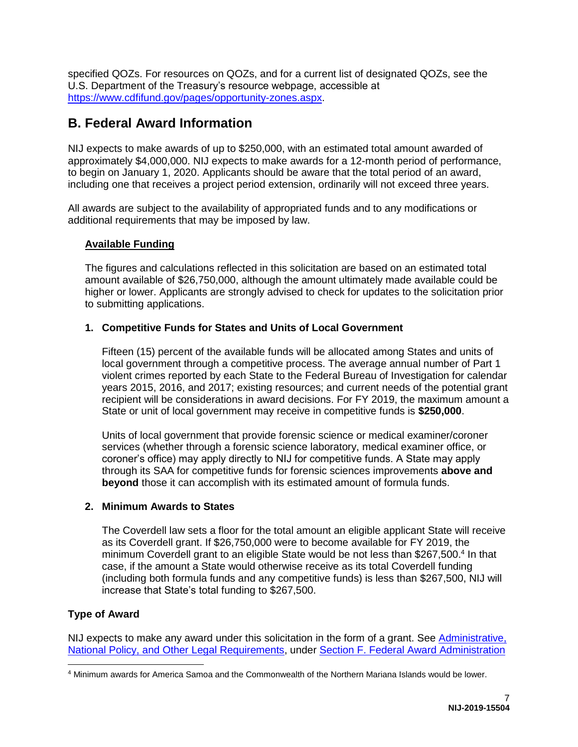specified QOZs. For resources on QOZs, and for a current list of designated QOZs, see the U.S. Department of the Treasury's resource webpage, accessible at [https://www.cdfifund.gov/pages/opportunity-zones.aspx.](https://www.cdfifund.gov/pages/opportunity-zones.aspx)

# <span id="page-7-0"></span>**B. Federal Award Information**

NIJ expects to make awards of up to \$250,000, with an estimated total amount awarded of approximately \$4,000,000. NIJ expects to make awards for a 12-month period of performance, to begin on January 1, 2020. Applicants should be aware that the total period of an award, including one that receives a project period extension, ordinarily will not exceed three years.

All awards are subject to the availability of appropriated funds and to any modifications or additional requirements that may be imposed by law.

### <span id="page-7-2"></span>**Available Funding**

The figures and calculations reflected in this solicitation are based on an estimated total amount available of \$26,750,000, although the amount ultimately made available could be higher or lower. Applicants are strongly advised to check for updates to the solicitation prior to submitting applications.

### **1. Competitive Funds for States and Units of Local Government**

Fifteen (15) percent of the available funds will be allocated among States and units of local government through a competitive process. The average annual number of Part 1 violent crimes reported by each State to the Federal Bureau of Investigation for calendar years 2015, 2016, and 2017; existing resources; and current needs of the potential grant recipient will be considerations in award decisions. For FY 2019, the maximum amount a State or unit of local government may receive in competitive funds is **\$250,000**.

Units of local government that provide forensic science or medical examiner/coroner services (whether through a forensic science laboratory, medical examiner office, or coroner's office) may apply directly to NIJ for competitive funds. A State may apply through its SAA for competitive funds for forensic sciences improvements **above and beyond** those it can accomplish with its estimated amount of formula funds.

#### **2. Minimum Awards to States**

The Coverdell law sets a floor for the total amount an eligible applicant State will receive as its Coverdell grant. If \$26,750,000 were to become available for FY 2019, the minimum Coverdell grant to an eligible State would be not less than \$267,500.<sup>4</sup> In that case, if the amount a State would otherwise receive as its total Coverdell funding (including both formula funds and any competitive funds) is less than \$267,500, NIJ will increase that State's total funding to \$267,500.

### <span id="page-7-1"></span>**Type of Award**

NIJ expects to make any award under this solicitation in the form of a grant. See Administrative, [National Policy, and Other Legal Requirements,](#page-42-2) under [Section F. Federal Award Administration](#page-42-0) 

<sup>4</sup> Minimum awards for America Samoa and the Commonwealth of the Northern Mariana Islands would be lower.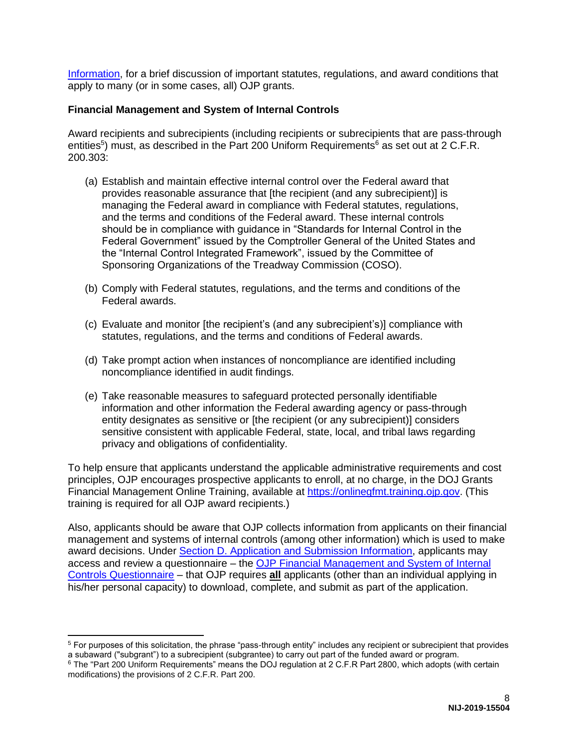[Information,](#page-42-0) for a brief discussion of important statutes, regulations, and award conditions that apply to many (or in some cases, all) OJP grants.

#### <span id="page-8-0"></span>**Financial Management and System of Internal Controls**

Award recipients and subrecipients (including recipients or subrecipients that are pass-through entities<sup>5</sup>) must, as described in the Part 200 Uniform Requirements<sup>6</sup> as set out at 2 C.F.R. 200.303:

- (a) Establish and maintain effective internal control over the Federal award that provides reasonable assurance that [the recipient (and any subrecipient)] is managing the Federal award in compliance with Federal statutes, regulations, and the terms and conditions of the Federal award. These internal controls should be in compliance with guidance in "Standards for Internal Control in the Federal Government" issued by the Comptroller General of the United States and the "Internal Control Integrated Framework", issued by the Committee of Sponsoring Organizations of the Treadway Commission (COSO).
- (b) Comply with Federal statutes, regulations, and the terms and conditions of the Federal awards.
- (c) Evaluate and monitor [the recipient's (and any subrecipient's)] compliance with statutes, regulations, and the terms and conditions of Federal awards.
- (d) Take prompt action when instances of noncompliance are identified including noncompliance identified in audit findings.
- (e) Take reasonable measures to safeguard protected personally identifiable information and other information the Federal awarding agency or pass-through entity designates as sensitive or [the recipient (or any subrecipient)] considers sensitive consistent with applicable Federal, state, local, and tribal laws regarding privacy and obligations of confidentiality.

To help ensure that applicants understand the applicable administrative requirements and cost principles, OJP encourages prospective applicants to enroll, at no charge, in the DOJ Grants Financial Management Online Training, available at [https://onlinegfmt.training.ojp.gov.](https://onlinegfmt.training.ojp.gov/) (This training is required for all OJP award recipients.)

Also, applicants should be aware that OJP collects information from applicants on their financial management and systems of internal controls (among other information) which is used to make award decisions. Under [Section D. Application and Submission Information,](#page-19-0) applicants may access and review a questionnaire – the [OJP Financial Management and System of Internal](https://ojp.gov/funding/Apply/Resources/FinancialCapability.pdf)  [Controls Questionnaire](https://ojp.gov/funding/Apply/Resources/FinancialCapability.pdf) – that OJP requires **all** applicants (other than an individual applying in his/her personal capacity) to download, complete, and submit as part of the application.

 $\overline{a}$  $5$  For purposes of this solicitation, the phrase "pass-through entity" includes any recipient or subrecipient that provides a subaward ("subgrant") to a subrecipient (subgrantee) to carry out part of the funded award or program.

<sup>&</sup>lt;sup>6</sup> The "Part 200 Uniform Requirements" means the DOJ regulation at 2 C.F.R Part 2800, which adopts (with certain modifications) the provisions of 2 C.F.R. Part 200.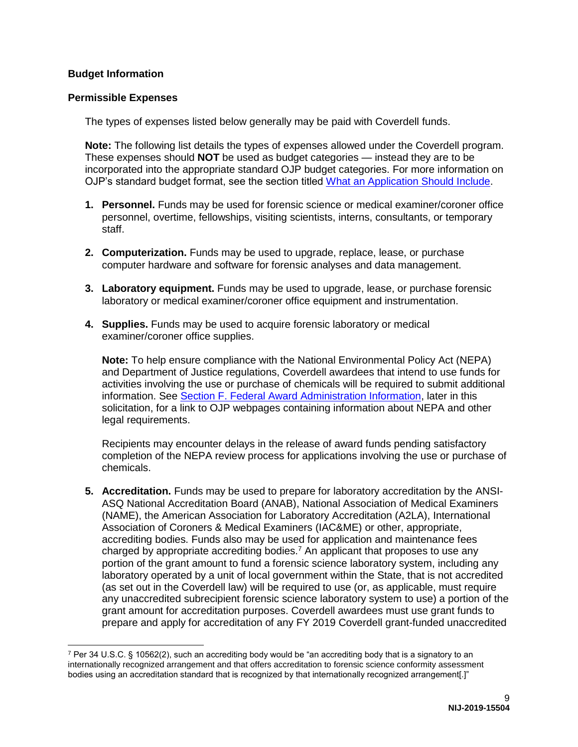#### <span id="page-9-0"></span>**Budget Information**

#### **Permissible Expenses**

The types of expenses listed below generally may be paid with Coverdell funds.

**Note:** The following list details the types of expenses allowed under the Coverdell program. These expenses should **NOT** be used as budget categories — instead they are to be incorporated into the appropriate standard OJP budget categories. For more information on OJP's standard budget format, see the section titled [What an Application Should Include.](#page-19-1)

- **1. Personnel.** Funds may be used for forensic science or medical examiner/coroner office personnel, overtime, fellowships, visiting scientists, interns, consultants, or temporary staff.
- **2. Computerization.** Funds may be used to upgrade, replace, lease, or purchase computer hardware and software for forensic analyses and data management.
- **3. Laboratory equipment.** Funds may be used to upgrade, lease, or purchase forensic laboratory or medical examiner/coroner office equipment and instrumentation.
- **4. Supplies.** Funds may be used to acquire forensic laboratory or medical examiner/coroner office supplies.

**Note:** To help ensure compliance with the National Environmental Policy Act (NEPA) and Department of Justice regulations, Coverdell awardees that intend to use funds for activities involving the use or purchase of chemicals will be required to submit additional information. See [Section F. Federal Award Administration Information,](#page-42-0) later in this solicitation, for a link to OJP webpages containing information about NEPA and other legal requirements.

Recipients may encounter delays in the release of award funds pending satisfactory completion of the NEPA review process for applications involving the use or purchase of chemicals.

**5. Accreditation.** Funds may be used to prepare for laboratory accreditation by the ANSI-ASQ National Accreditation Board (ANAB), National Association of Medical Examiners (NAME), the American Association for Laboratory Accreditation (A2LA), International Association of Coroners & Medical Examiners (IAC&ME) or other, appropriate, accrediting bodies. Funds also may be used for application and maintenance fees charged by appropriate accrediting bodies.<sup>7</sup> An applicant that proposes to use any portion of the grant amount to fund a forensic science laboratory system, including any laboratory operated by a unit of local government within the State, that is not accredited (as set out in the Coverdell law) will be required to use (or, as applicable, must require any unaccredited subrecipient forensic science laboratory system to use) a portion of the grant amount for accreditation purposes. Coverdell awardees must use grant funds to prepare and apply for accreditation of any FY 2019 Coverdell grant-funded unaccredited

 $7$  Per 34 U.S.C. § 10562(2), such an accrediting body would be "an accrediting body that is a signatory to an internationally recognized arrangement and that offers accreditation to forensic science conformity assessment bodies using an accreditation standard that is recognized by that internationally recognized arrangement[.]"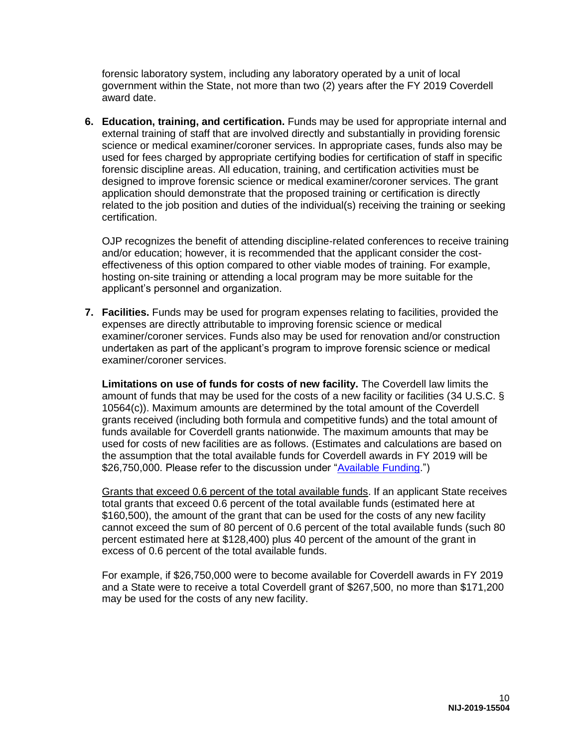forensic laboratory system, including any laboratory operated by a unit of local government within the State, not more than two (2) years after the FY 2019 Coverdell award date.

**6. Education, training, and certification.** Funds may be used for appropriate internal and external training of staff that are involved directly and substantially in providing forensic science or medical examiner/coroner services. In appropriate cases, funds also may be used for fees charged by appropriate certifying bodies for certification of staff in specific forensic discipline areas. All education, training, and certification activities must be designed to improve forensic science or medical examiner/coroner services. The grant application should demonstrate that the proposed training or certification is directly related to the job position and duties of the individual(s) receiving the training or seeking certification.

OJP recognizes the benefit of attending discipline-related conferences to receive training and/or education; however, it is recommended that the applicant consider the costeffectiveness of this option compared to other viable modes of training. For example, hosting on-site training or attending a local program may be more suitable for the applicant's personnel and organization.

**7. Facilities.** Funds may be used for program expenses relating to facilities, provided the expenses are directly attributable to improving forensic science or medical examiner/coroner services. Funds also may be used for renovation and/or construction undertaken as part of the applicant's program to improve forensic science or medical examiner/coroner services.

**Limitations on use of funds for costs of new facility.** The Coverdell law limits the amount of funds that may be used for the costs of a new facility or facilities (34 U.S.C. § 10564(c)). Maximum amounts are determined by the total amount of the Coverdell grants received (including both formula and competitive funds) and the total amount of funds available for Coverdell grants nationwide. The maximum amounts that may be used for costs of new facilities are as follows. (Estimates and calculations are based on the assumption that the total available funds for Coverdell awards in FY 2019 will be \$26,750,000. Please refer to the discussion under ["Available Funding.](#page-7-2)")

Grants that exceed 0.6 percent of the total available funds. If an applicant State receives total grants that exceed 0.6 percent of the total available funds (estimated here at \$160,500), the amount of the grant that can be used for the costs of any new facility cannot exceed the sum of 80 percent of 0.6 percent of the total available funds (such 80 percent estimated here at \$128,400) plus 40 percent of the amount of the grant in excess of 0.6 percent of the total available funds.

For example, if \$26,750,000 were to become available for Coverdell awards in FY 2019 and a State were to receive a total Coverdell grant of \$267,500, no more than \$171,200 may be used for the costs of any new facility.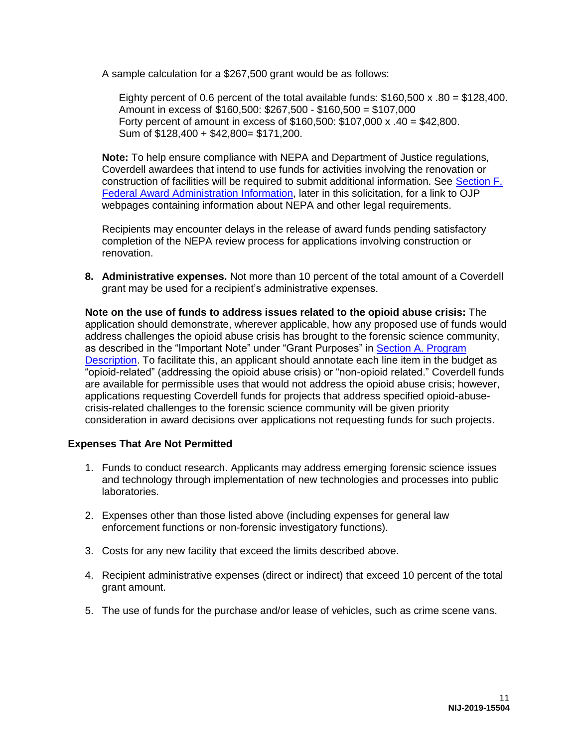A sample calculation for a \$267,500 grant would be as follows:

Eighty percent of 0.6 percent of the total available funds:  $$160,500 \times .80 = $128,400$ . Amount in excess of \$160,500: \$267,500 - \$160,500 = \$107,000 Forty percent of amount in excess of \$160,500: \$107,000 x .40 = \$42,800. Sum of \$128,400 + \$42,800= \$171,200.

**Note:** To help ensure compliance with NEPA and Department of Justice regulations, Coverdell awardees that intend to use funds for activities involving the renovation or construction of facilities will be required to submit additional information. See [Section F.](#page-42-0)  [Federal Award Administration Information,](#page-42-0) later in this solicitation, for a link to OJP webpages containing information about NEPA and other legal requirements.

Recipients may encounter delays in the release of award funds pending satisfactory completion of the NEPA review process for applications involving construction or renovation.

**8. Administrative expenses.** Not more than 10 percent of the total amount of a Coverdell grant may be used for a recipient's administrative expenses.

**Note on the use of funds to address issues related to the opioid abuse crisis:** The application should demonstrate, wherever applicable, how any proposed use of funds would address challenges the opioid abuse crisis has brought to the forensic science community, as described in the "Important Note" under "Grant Purposes" in [Section A. Program](#page-4-0)  [Description.](#page-4-0) To facilitate this, an applicant should annotate each line item in the budget as "opioid-related" (addressing the opioid abuse crisis) or "non-opioid related." Coverdell funds are available for permissible uses that would not address the opioid abuse crisis; however, applications requesting Coverdell funds for projects that address specified opioid-abusecrisis-related challenges to the forensic science community will be given priority consideration in award decisions over applications not requesting funds for such projects.

#### **Expenses That Are Not Permitted**

- 1. Funds to conduct research. Applicants may address emerging forensic science issues and technology through implementation of new technologies and processes into public laboratories.
- 2. Expenses other than those listed above (including expenses for general law enforcement functions or non-forensic investigatory functions).
- 3. Costs for any new facility that exceed the limits described above.
- 4. Recipient administrative expenses (direct or indirect) that exceed 10 percent of the total grant amount.
- 5. The use of funds for the purchase and/or lease of vehicles, such as crime scene vans.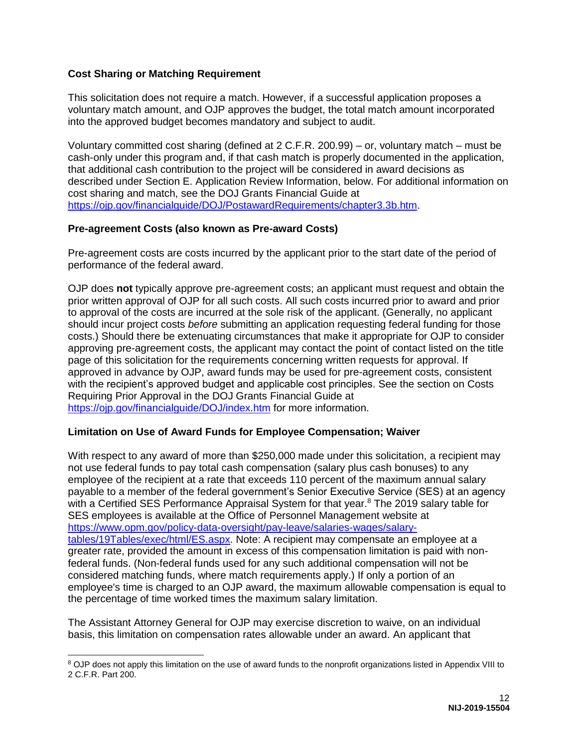#### <span id="page-12-0"></span>**Cost Sharing or Matching Requirement**

This solicitation does not require a match. However, if a successful application proposes a voluntary match amount, and OJP approves the budget, the total match amount incorporated into the approved budget becomes mandatory and subject to audit.

Voluntary committed cost sharing (defined at 2 C.F.R. 200.99) – or, voluntary match – must be cash-only under this program and, if that cash match is properly documented in the application, that additional cash contribution to the project will be considered in award decisions as described under Section E. Application Review Information, below. For additional information on cost sharing and match, see the DOJ Grants Financial Guide at [https://ojp.gov/financialguide/DOJ/PostawardRequirements/chapter3.3b.htm.](https://ojp.gov/financialguide/DOJ/PostawardRequirements/chapter3.3b.htm)

#### <span id="page-12-1"></span>**Pre-agreement Costs (also known as Pre-award Costs)**

Pre-agreement costs are costs incurred by the applicant prior to the start date of the period of performance of the federal award.

OJP does **not** typically approve pre-agreement costs; an applicant must request and obtain the prior written approval of OJP for all such costs. All such costs incurred prior to award and prior to approval of the costs are incurred at the sole risk of the applicant. (Generally, no applicant should incur project costs *before* submitting an application requesting federal funding for those costs.) Should there be extenuating circumstances that make it appropriate for OJP to consider approving pre-agreement costs, the applicant may contact the point of contact listed on the title page of this solicitation for the requirements concerning written requests for approval. If approved in advance by OJP, award funds may be used for pre-agreement costs, consistent with the recipient's approved budget and applicable cost principles. See the section on Costs Requiring Prior Approval in the DOJ Grants Financial Guide at <https://ojp.gov/financialguide/DOJ/index.htm>for more information.

#### <span id="page-12-2"></span>**Limitation on Use of Award Funds for Employee Compensation; Waiver**

With respect to any award of more than \$250,000 made under this solicitation, a recipient may not use federal funds to pay total cash compensation (salary plus cash bonuses) to any employee of the recipient at a rate that exceeds 110 percent of the maximum annual salary payable to a member of the federal government's Senior Executive Service (SES) at an agency with a Certified SES Performance Appraisal System for that year.<sup>8</sup> The 2019 salary table for SES employees is available at the Office of Personnel Management website at [https://www.opm.gov/policy-data-oversight/pay-leave/salaries-wages/salary](https://www.opm.gov/policy-data-oversight/pay-leave/salaries-wages/salary-tables/19Tables/exec/html/ES.aspx)[tables/19Tables/exec/html/ES.aspx.](https://www.opm.gov/policy-data-oversight/pay-leave/salaries-wages/salary-tables/19Tables/exec/html/ES.aspx) Note: A recipient may compensate an employee at a greater rate, provided the amount in excess of this compensation limitation is paid with nonfederal funds. (Non-federal funds used for any such additional compensation will not be considered matching funds, where match requirements apply.) If only a portion of an employee's time is charged to an OJP award, the maximum allowable compensation is equal to the percentage of time worked times the maximum salary limitation.

The Assistant Attorney General for OJP may exercise discretion to waive, on an individual basis, this limitation on compensation rates allowable under an award. An applicant that

 $\overline{a}$ 

<sup>&</sup>lt;sup>8</sup> OJP does not apply this limitation on the use of award funds to the nonprofit organizations listed in Appendix VIII to 2 C.F.R. Part 200.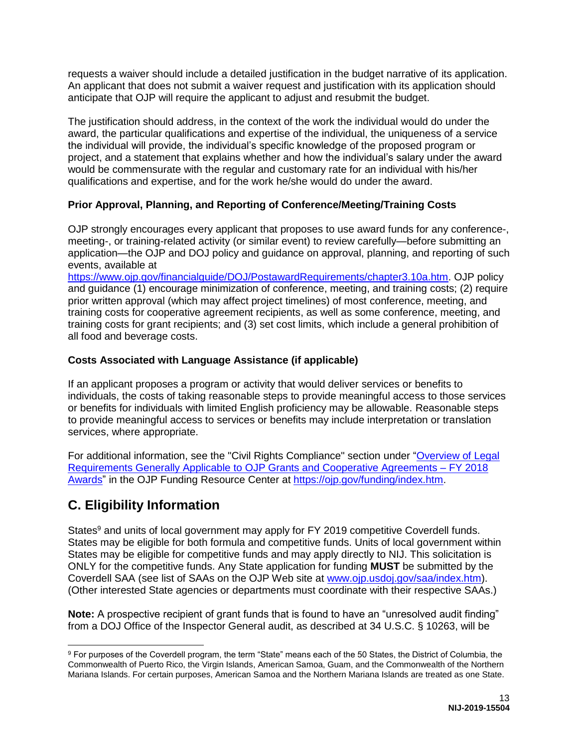requests a waiver should include a detailed justification in the budget narrative of its application. An applicant that does not submit a waiver request and justification with its application should anticipate that OJP will require the applicant to adjust and resubmit the budget.

The justification should address, in the context of the work the individual would do under the award, the particular qualifications and expertise of the individual, the uniqueness of a service the individual will provide, the individual's specific knowledge of the proposed program or project, and a statement that explains whether and how the individual's salary under the award would be commensurate with the regular and customary rate for an individual with his/her qualifications and expertise, and for the work he/she would do under the award.

### <span id="page-13-1"></span>**Prior Approval, Planning, and Reporting of Conference/Meeting/Training Costs**

OJP strongly encourages every applicant that proposes to use award funds for any conference-, meeting-, or training-related activity (or similar event) to review carefully—before submitting an application—the OJP and DOJ policy and guidance on approval, planning, and reporting of such events, available at

[https://www.ojp.gov/financialguide/DOJ/PostawardRequirements/chapter3.10a.htm.](https://www.ojp.gov/financialguide/DOJ/PostawardRequirements/chapter3.10a.htm) OJP policy and guidance (1) encourage minimization of conference, meeting, and training costs; (2) require prior written approval (which may affect project timelines) of most conference, meeting, and training costs for cooperative agreement recipients, as well as some conference, meeting, and training costs for grant recipients; and (3) set cost limits, which include a general prohibition of all food and beverage costs.

#### <span id="page-13-2"></span>**Costs Associated with Language Assistance (if applicable)**

If an applicant proposes a program or activity that would deliver services or benefits to individuals, the costs of taking reasonable steps to provide meaningful access to those services or benefits for individuals with limited English proficiency may be allowable. Reasonable steps to provide meaningful access to services or benefits may include interpretation or translation services, where appropriate.

For additional information, see the "Civil Rights Compliance" section under ["Overview of Legal](https://ojp.gov/funding/Explore/LegalOverview/index.htm)  [Requirements Generally Applicable to OJP Grants and Cooperative Agreements – FY 2018](https://ojp.gov/funding/Explore/LegalOverview/index.htm)  [Awards"](https://ojp.gov/funding/Explore/LegalOverview/index.htm) in the OJP Funding Resource Center at [https://ojp.gov/funding/index.htm.](https://ojp.gov/funding/index.htm)

# <span id="page-13-0"></span>**C. Eligibility Information**

States<sup>9</sup> and units of local government may apply for FY 2019 competitive Coverdell funds. States may be eligible for both formula and competitive funds. Units of local government within States may be eligible for competitive funds and may apply directly to NIJ. This solicitation is ONLY for the competitive funds. Any State application for funding **MUST** be submitted by the Coverdell SAA (see list of SAAs on the OJP Web site at [www.ojp.usdoj.gov/saa/index.htm\)](http://www.ojp.usdoj.gov/saa/index.htm). (Other interested State agencies or departments must coordinate with their respective SAAs.)

**Note:** A prospective recipient of grant funds that is found to have an "unresolved audit finding" from a DOJ Office of the Inspector General audit, as described at 34 U.S.C. § 10263, will be

 <sup>9</sup> For purposes of the Coverdell program, the term "State" means each of the 50 States, the District of Columbia, the Commonwealth of Puerto Rico, the Virgin Islands, American Samoa, Guam, and the Commonwealth of the Northern Mariana Islands. For certain purposes, American Samoa and the Northern Mariana Islands are treated as one State.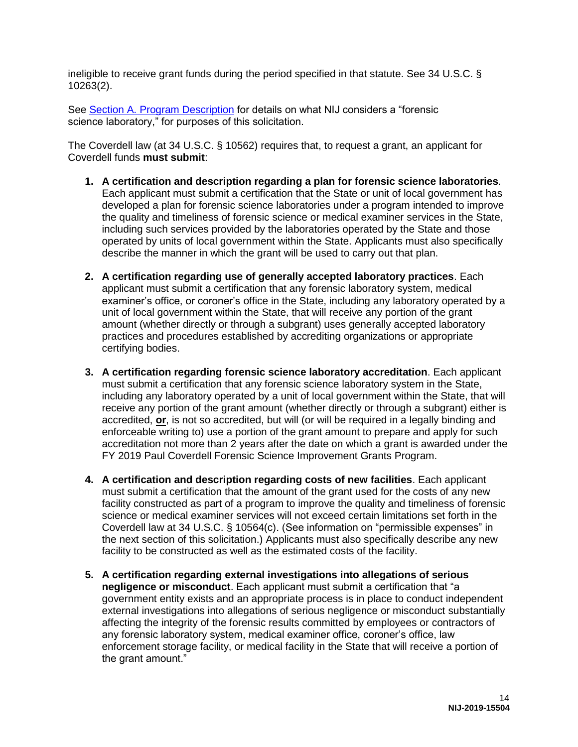ineligible to receive grant funds during the period specified in that statute. See 34 U.S.C. § 10263(2).

See [Section A. Program Description](#page-4-0) for details on what NIJ considers a "forensic science laboratory," for purposes of this solicitation.

The Coverdell law (at 34 U.S.C. § 10562) requires that, to request a grant, an applicant for Coverdell funds **must submit**:

- **1. A certification and description regarding a plan for forensic science laboratories***.* Each applicant must submit a certification that the State or unit of local government has developed a plan for forensic science laboratories under a program intended to improve the quality and timeliness of forensic science or medical examiner services in the State, including such services provided by the laboratories operated by the State and those operated by units of local government within the State. Applicants must also specifically describe the manner in which the grant will be used to carry out that plan.
- **2. A certification regarding use of generally accepted laboratory practices**. Each applicant must submit a certification that any forensic laboratory system, medical examiner's office, or coroner's office in the State, including any laboratory operated by a unit of local government within the State, that will receive any portion of the grant amount (whether directly or through a subgrant) uses generally accepted laboratory practices and procedures established by accrediting organizations or appropriate certifying bodies.
- **3. A certification regarding forensic science laboratory accreditation**. Each applicant must submit a certification that any forensic science laboratory system in the State, including any laboratory operated by a unit of local government within the State, that will receive any portion of the grant amount (whether directly or through a subgrant) either is accredited, **or**, is not so accredited, but will (or will be required in a legally binding and enforceable writing to) use a portion of the grant amount to prepare and apply for such accreditation not more than 2 years after the date on which a grant is awarded under the FY 2019 Paul Coverdell Forensic Science Improvement Grants Program.
- **4. A certification and description regarding costs of new facilities**. Each applicant must submit a certification that the amount of the grant used for the costs of any new facility constructed as part of a program to improve the quality and timeliness of forensic science or medical examiner services will not exceed certain limitations set forth in the Coverdell law at 34 U.S.C. § 10564(c). (See information on "permissible expenses" in the next section of this solicitation.) Applicants must also specifically describe any new facility to be constructed as well as the estimated costs of the facility.
- **5. A certification regarding external investigations into allegations of serious negligence or misconduct**. Each applicant must submit a certification that "a government entity exists and an appropriate process is in place to conduct independent external investigations into allegations of serious negligence or misconduct substantially affecting the integrity of the forensic results committed by employees or contractors of any forensic laboratory system, medical examiner office, coroner's office, law enforcement storage facility, or medical facility in the State that will receive a portion of the grant amount."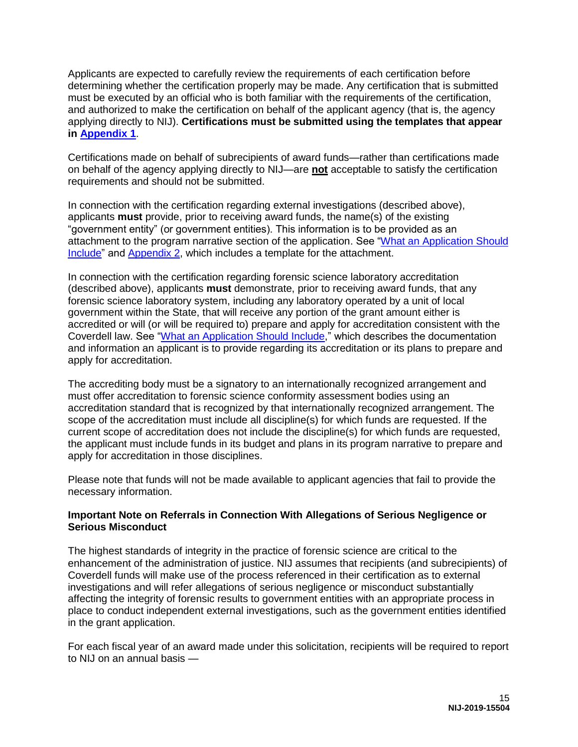Applicants are expected to carefully review the requirements of each certification before determining whether the certification properly may be made. Any certification that is submitted must be executed by an official who is both familiar with the requirements of the certification, and authorized to make the certification on behalf of the applicant agency (that is, the agency applying directly to NIJ). **Certifications must be submitted using the templates that appear in [Appendix 1](#page-46-0)**.

Certifications made on behalf of subrecipients of award funds—rather than certifications made on behalf of the agency applying directly to NIJ—are **not** acceptable to satisfy the certification requirements and should not be submitted.

In connection with the certification regarding external investigations (described above), applicants **must** provide, prior to receiving award funds, the name(s) of the existing "government entity" (or government entities). This information is to be provided as an attachment to the program narrative section of the application. See ["What an Application Should](#page-19-1)  [Include"](#page-19-1) and [Appendix 2,](#page-53-0) which includes a template for the attachment.

In connection with the certification regarding forensic science laboratory accreditation (described above), applicants **must** demonstrate, prior to receiving award funds, that any forensic science laboratory system, including any laboratory operated by a unit of local government within the State, that will receive any portion of the grant amount either is accredited or will (or will be required to) prepare and apply for accreditation consistent with the Coverdell law. See ["What an Application Should Include,](#page-19-1)" which describes the documentation and information an applicant is to provide regarding its accreditation or its plans to prepare and apply for accreditation.

The accrediting body must be a signatory to an internationally recognized arrangement and must offer accreditation to forensic science conformity assessment bodies using an accreditation standard that is recognized by that internationally recognized arrangement. The scope of the accreditation must include all discipline(s) for which funds are requested. If the current scope of accreditation does not include the discipline(s) for which funds are requested, the applicant must include funds in its budget and plans in its program narrative to prepare and apply for accreditation in those disciplines.

Please note that funds will not be made available to applicant agencies that fail to provide the necessary information.

#### **Important Note on Referrals in Connection With Allegations of Serious Negligence or Serious Misconduct**

The highest standards of integrity in the practice of forensic science are critical to the enhancement of the administration of justice. NIJ assumes that recipients (and subrecipients) of Coverdell funds will make use of the process referenced in their certification as to external investigations and will refer allegations of serious negligence or misconduct substantially affecting the integrity of forensic results to government entities with an appropriate process in place to conduct independent external investigations, such as the government entities identified in the grant application.

For each fiscal year of an award made under this solicitation, recipients will be required to report to NIJ on an annual basis —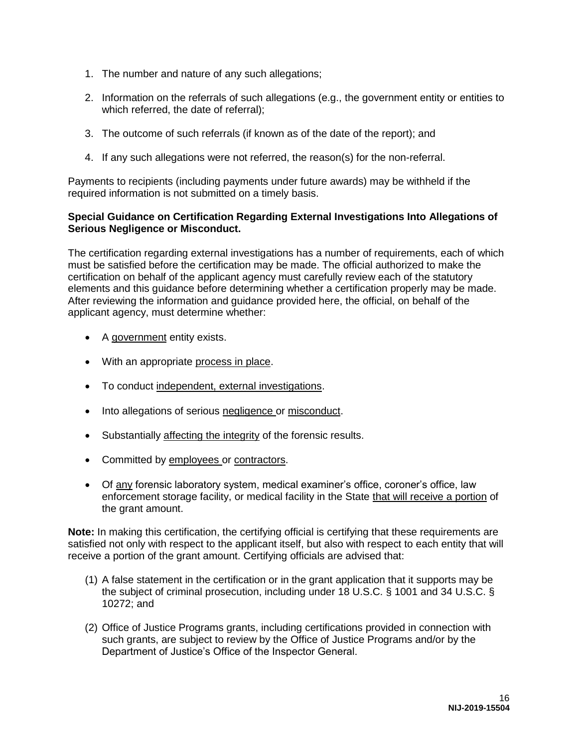- 1. The number and nature of any such allegations;
- 2. Information on the referrals of such allegations (e.g., the government entity or entities to which referred, the date of referral);
- 3. The outcome of such referrals (if known as of the date of the report); and
- 4. If any such allegations were not referred, the reason(s) for the non-referral.

Payments to recipients (including payments under future awards) may be withheld if the required information is not submitted on a timely basis.

#### **Special Guidance on Certification Regarding External Investigations Into Allegations of Serious Negligence or Misconduct.**

The certification regarding external investigations has a number of requirements, each of which must be satisfied before the certification may be made. The official authorized to make the certification on behalf of the applicant agency must carefully review each of the statutory elements and this guidance before determining whether a certification properly may be made. After reviewing the information and guidance provided here, the official, on behalf of the applicant agency, must determine whether:

- A government entity exists.
- With an appropriate process in place.
- To conduct independent, external investigations.
- Into allegations of serious negligence or misconduct.
- Substantially affecting the integrity of the forensic results.
- Committed by employees or contractors.
- Of any forensic laboratory system, medical examiner's office, coroner's office, law enforcement storage facility, or medical facility in the State that will receive a portion of the grant amount.

**Note:** In making this certification, the certifying official is certifying that these requirements are satisfied not only with respect to the applicant itself, but also with respect to each entity that will receive a portion of the grant amount. Certifying officials are advised that:

- (1) A false statement in the certification or in the grant application that it supports may be the subject of criminal prosecution, including under 18 U.S.C. § 1001 and 34 U.S.C. § 10272; and
- (2) Office of Justice Programs grants, including certifications provided in connection with such grants, are subject to review by the Office of Justice Programs and/or by the Department of Justice's Office of the Inspector General.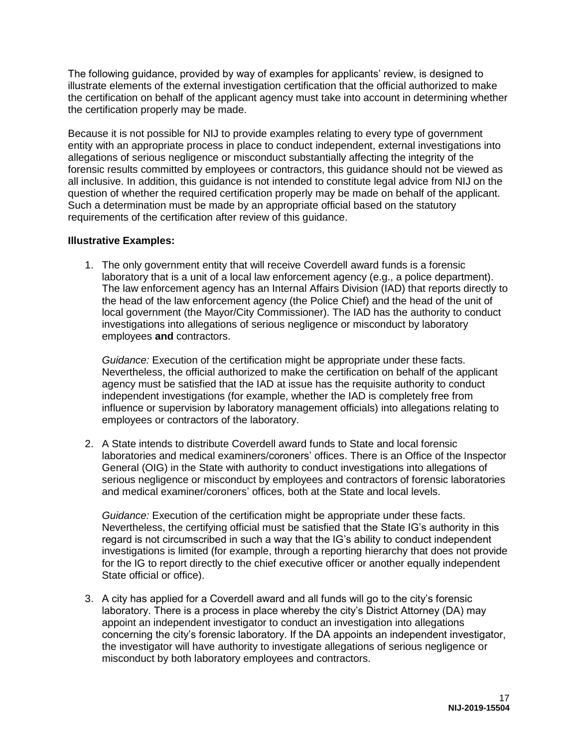The following guidance, provided by way of examples for applicants' review, is designed to illustrate elements of the external investigation certification that the official authorized to make the certification on behalf of the applicant agency must take into account in determining whether the certification properly may be made.

Because it is not possible for NIJ to provide examples relating to every type of government entity with an appropriate process in place to conduct independent, external investigations into allegations of serious negligence or misconduct substantially affecting the integrity of the forensic results committed by employees or contractors, this guidance should not be viewed as all inclusive. In addition, this guidance is not intended to constitute legal advice from NIJ on the question of whether the required certification properly may be made on behalf of the applicant. Such a determination must be made by an appropriate official based on the statutory requirements of the certification after review of this guidance.

#### **Illustrative Examples:**

1. The only government entity that will receive Coverdell award funds is a forensic laboratory that is a unit of a local law enforcement agency (e.g., a police department). The law enforcement agency has an Internal Affairs Division (IAD) that reports directly to the head of the law enforcement agency (the Police Chief) and the head of the unit of local government (the Mayor/City Commissioner). The IAD has the authority to conduct investigations into allegations of serious negligence or misconduct by laboratory employees **and** contractors.

*Guidance:* Execution of the certification might be appropriate under these facts. Nevertheless, the official authorized to make the certification on behalf of the applicant agency must be satisfied that the IAD at issue has the requisite authority to conduct independent investigations (for example, whether the IAD is completely free from influence or supervision by laboratory management officials) into allegations relating to employees or contractors of the laboratory.

2. A State intends to distribute Coverdell award funds to State and local forensic laboratories and medical examiners/coroners' offices. There is an Office of the Inspector General (OIG) in the State with authority to conduct investigations into allegations of serious negligence or misconduct by employees and contractors of forensic laboratories and medical examiner/coroners' offices, both at the State and local levels.

*Guidance:* Execution of the certification might be appropriate under these facts. Nevertheless, the certifying official must be satisfied that the State IG's authority in this regard is not circumscribed in such a way that the IG's ability to conduct independent investigations is limited (for example, through a reporting hierarchy that does not provide for the IG to report directly to the chief executive officer or another equally independent State official or office).

3. A city has applied for a Coverdell award and all funds will go to the city's forensic laboratory. There is a process in place whereby the city's District Attorney (DA) may appoint an independent investigator to conduct an investigation into allegations concerning the city's forensic laboratory. If the DA appoints an independent investigator, the investigator will have authority to investigate allegations of serious negligence or misconduct by both laboratory employees and contractors.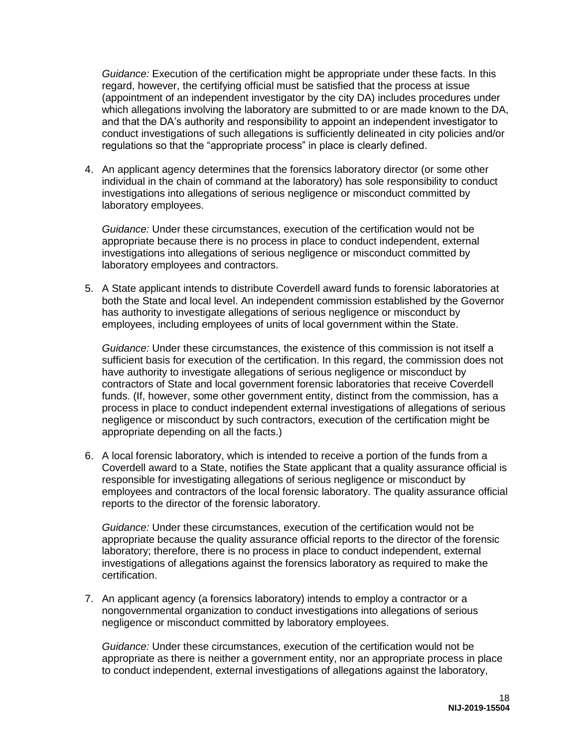*Guidance:* Execution of the certification might be appropriate under these facts. In this regard, however, the certifying official must be satisfied that the process at issue (appointment of an independent investigator by the city DA) includes procedures under which allegations involving the laboratory are submitted to or are made known to the DA, and that the DA's authority and responsibility to appoint an independent investigator to conduct investigations of such allegations is sufficiently delineated in city policies and/or regulations so that the "appropriate process" in place is clearly defined.

4. An applicant agency determines that the forensics laboratory director (or some other individual in the chain of command at the laboratory) has sole responsibility to conduct investigations into allegations of serious negligence or misconduct committed by laboratory employees.

*Guidance:* Under these circumstances, execution of the certification would not be appropriate because there is no process in place to conduct independent, external investigations into allegations of serious negligence or misconduct committed by laboratory employees and contractors.

5. A State applicant intends to distribute Coverdell award funds to forensic laboratories at both the State and local level. An independent commission established by the Governor has authority to investigate allegations of serious negligence or misconduct by employees, including employees of units of local government within the State.

*Guidance:* Under these circumstances, the existence of this commission is not itself a sufficient basis for execution of the certification. In this regard, the commission does not have authority to investigate allegations of serious negligence or misconduct by contractors of State and local government forensic laboratories that receive Coverdell funds. (If, however, some other government entity, distinct from the commission, has a process in place to conduct independent external investigations of allegations of serious negligence or misconduct by such contractors, execution of the certification might be appropriate depending on all the facts.)

6. A local forensic laboratory, which is intended to receive a portion of the funds from a Coverdell award to a State, notifies the State applicant that a quality assurance official is responsible for investigating allegations of serious negligence or misconduct by employees and contractors of the local forensic laboratory. The quality assurance official reports to the director of the forensic laboratory.

*Guidance:* Under these circumstances, execution of the certification would not be appropriate because the quality assurance official reports to the director of the forensic laboratory; therefore, there is no process in place to conduct independent, external investigations of allegations against the forensics laboratory as required to make the certification.

7. An applicant agency (a forensics laboratory) intends to employ a contractor or a nongovernmental organization to conduct investigations into allegations of serious negligence or misconduct committed by laboratory employees.

*Guidance:* Under these circumstances, execution of the certification would not be appropriate as there is neither a government entity, nor an appropriate process in place to conduct independent, external investigations of allegations against the laboratory,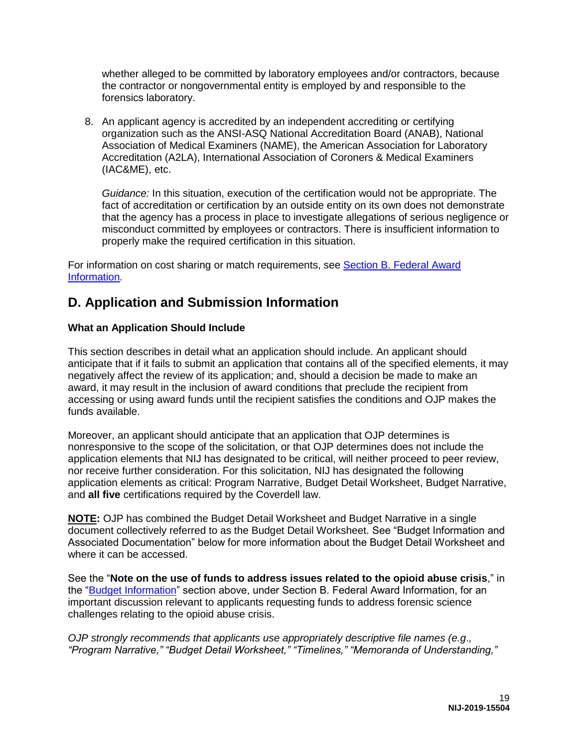whether alleged to be committed by laboratory employees and/or contractors, because the contractor or nongovernmental entity is employed by and responsible to the forensics laboratory.

8. An applicant agency is accredited by an independent accrediting or certifying organization such as the ANSI-ASQ National Accreditation Board (ANAB), National Association of Medical Examiners (NAME), the American Association for Laboratory Accreditation (A2LA), International Association of Coroners & Medical Examiners (IAC&ME), etc.

*Guidance:* In this situation, execution of the certification would not be appropriate. The fact of accreditation or certification by an outside entity on its own does not demonstrate that the agency has a process in place to investigate allegations of serious negligence or misconduct committed by employees or contractors. There is insufficient information to properly make the required certification in this situation.

For information on cost sharing or match requirements, see [Section B. Federal Award](#page-7-0)  [Information](#page-7-0)*.* 

# <span id="page-19-0"></span>**D. Application and Submission Information**

#### <span id="page-19-1"></span>**What an Application Should Include**

This section describes in detail what an application should include. An applicant should anticipate that if it fails to submit an application that contains all of the specified elements, it may negatively affect the review of its application; and, should a decision be made to make an award, it may result in the inclusion of award conditions that preclude the recipient from accessing or using award funds until the recipient satisfies the conditions and OJP makes the funds available.

Moreover, an applicant should anticipate that an application that OJP determines is nonresponsive to the scope of the solicitation, or that OJP determines does not include the application elements that NIJ has designated to be critical, will neither proceed to peer review, nor receive further consideration. For this solicitation, NIJ has designated the following application elements as critical: Program Narrative, Budget Detail Worksheet, Budget Narrative, and **all five** certifications required by the Coverdell law.

**NOTE:** OJP has combined the Budget Detail Worksheet and Budget Narrative in a single document collectively referred to as the Budget Detail Worksheet. See "Budget Information and Associated Documentation" below for more information about the Budget Detail Worksheet and where it can be accessed.

See the "**Note on the use of funds to address issues related to the opioid abuse crisis**," in the ["Budget Information"](#page-9-0) section above, under Section B. Federal Award Information, for an important discussion relevant to applicants requesting funds to address forensic science challenges relating to the opioid abuse crisis.

*OJP strongly recommends that applicants use appropriately descriptive file names (e.g*.*, "Program Narrative," "Budget Detail Worksheet," "Timelines," "Memoranda of Understanding,"*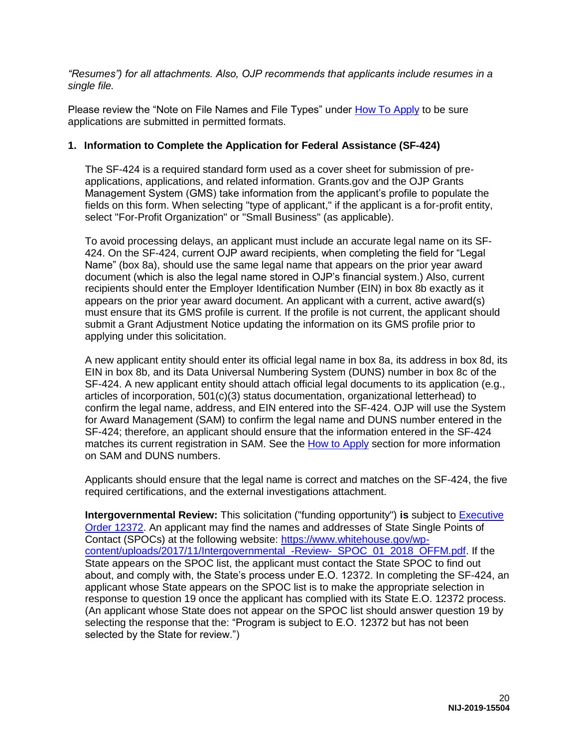*"Resumes") for all attachments. Also, OJP recommends that applicants include resumes in a single file.*

Please review the "Note on File Names and File Types" under [How To Apply](#page-33-0) to be sure applications are submitted in permitted formats.

#### **1. Information to Complete the Application for Federal Assistance (SF-424)**

The SF-424 is a required standard form used as a cover sheet for submission of preapplications, applications, and related information. Grants.gov and the OJP Grants Management System (GMS) take information from the applicant's profile to populate the fields on this form. When selecting "type of applicant," if the applicant is a for-profit entity, select "For-Profit Organization" or "Small Business" (as applicable).

To avoid processing delays, an applicant must include an accurate legal name on its SF-424. On the SF-424, current OJP award recipients, when completing the field for "Legal Name" (box 8a), should use the same legal name that appears on the prior year award document (which is also the legal name stored in OJP's financial system.) Also, current recipients should enter the Employer Identification Number (EIN) in box 8b exactly as it appears on the prior year award document. An applicant with a current, active award(s) must ensure that its GMS profile is current. If the profile is not current, the applicant should submit a Grant Adjustment Notice updating the information on its GMS profile prior to applying under this solicitation.

A new applicant entity should enter its official legal name in box 8a, its address in box 8d, its EIN in box 8b, and its Data Universal Numbering System (DUNS) number in box 8c of the SF-424. A new applicant entity should attach official legal documents to its application (e.g., articles of incorporation, 501(c)(3) status documentation, organizational letterhead) to confirm the legal name, address, and EIN entered into the SF-424. OJP will use the System for Award Management (SAM) to confirm the legal name and DUNS number entered in the SF-424; therefore, an applicant should ensure that the information entered in the SF-424 matches its current registration in SAM. See the [How to Apply](#page-33-0) section for more information on SAM and DUNS numbers.

Applicants should ensure that the legal name is correct and matches on the SF-424, the five required certifications, and the external investigations attachment.

**Intergovernmental Review:** This solicitation ("funding opportunity") **is** subject to [Executive](https://www.archives.gov/federal-register/codification/executive-order/12372.html)  [Order 12372.](https://www.archives.gov/federal-register/codification/executive-order/12372.html) An applicant may find the names and addresses of State Single Points of Contact (SPOCs) at the following website: [https://www.whitehouse.gov/wp](https://www.whitehouse.gov/wp-content/uploads/2017/11/Intergovernmental_-Review-_SPOC_01_2018_OFFM.pdf)[content/uploads/2017/11/Intergovernmental\\_-Review-\\_SPOC\\_01\\_2018\\_OFFM.pdf.](https://www.whitehouse.gov/wp-content/uploads/2017/11/Intergovernmental_-Review-_SPOC_01_2018_OFFM.pdf) If the State appears on the SPOC list, the applicant must contact the State SPOC to find out about, and comply with, the State's process under E.O. 12372. In completing the SF-424, an applicant whose State appears on the SPOC list is to make the appropriate selection in response to question 19 once the applicant has complied with its State E.O. 12372 process. (An applicant whose State does not appear on the SPOC list should answer question 19 by selecting the response that the: "Program is subject to E.O. 12372 but has not been selected by the State for review.")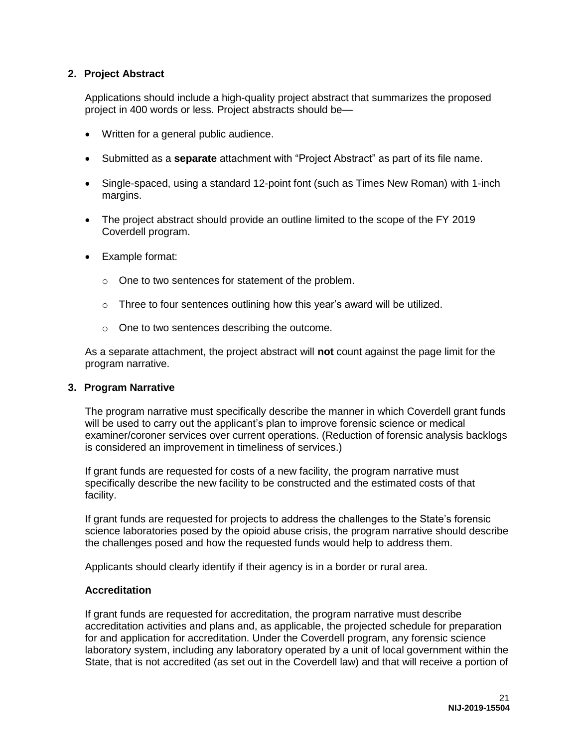#### **2. Project Abstract**

Applications should include a high-quality project abstract that summarizes the proposed project in 400 words or less. Project abstracts should be—

- Written for a general public audience.
- Submitted as a **separate** attachment with "Project Abstract" as part of its file name.
- Single-spaced, using a standard 12-point font (such as Times New Roman) with 1-inch margins.
- The project abstract should provide an outline limited to the scope of the FY 2019 Coverdell program.
- Example format:
	- o One to two sentences for statement of the problem.
	- o Three to four sentences outlining how this year's award will be utilized.
	- o One to two sentences describing the outcome.

As a separate attachment, the project abstract will **not** count against the page limit for the program narrative.

#### **3. Program Narrative**

The program narrative must specifically describe the manner in which Coverdell grant funds will be used to carry out the applicant's plan to improve forensic science or medical examiner/coroner services over current operations. (Reduction of forensic analysis backlogs is considered an improvement in timeliness of services.)

If grant funds are requested for costs of a new facility, the program narrative must specifically describe the new facility to be constructed and the estimated costs of that facility.

If grant funds are requested for projects to address the challenges to the State's forensic science laboratories posed by the opioid abuse crisis, the program narrative should describe the challenges posed and how the requested funds would help to address them.

Applicants should clearly identify if their agency is in a border or rural area.

#### **Accreditation**

If grant funds are requested for accreditation, the program narrative must describe accreditation activities and plans and, as applicable, the projected schedule for preparation for and application for accreditation. Under the Coverdell program, any forensic science laboratory system, including any laboratory operated by a unit of local government within the State, that is not accredited (as set out in the Coverdell law) and that will receive a portion of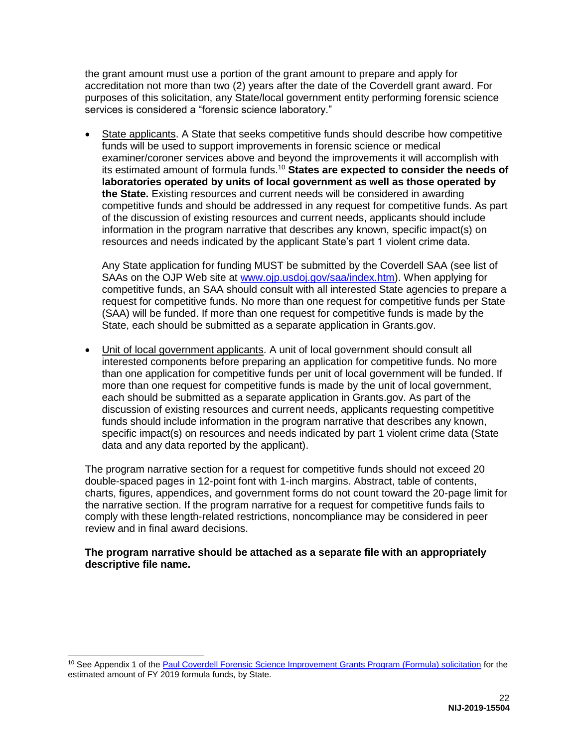the grant amount must use a portion of the grant amount to prepare and apply for accreditation not more than two (2) years after the date of the Coverdell grant award. For purposes of this solicitation, any State/local government entity performing forensic science services is considered a "forensic science laboratory."

• State applicants. A State that seeks competitive funds should describe how competitive funds will be used to support improvements in forensic science or medical examiner/coroner services above and beyond the improvements it will accomplish with its estimated amount of formula funds.<sup>10</sup> **States are expected to consider the needs of laboratories operated by units of local government as well as those operated by the State.** Existing resources and current needs will be considered in awarding competitive funds and should be addressed in any request for competitive funds. As part of the discussion of existing resources and current needs, applicants should include information in the program narrative that describes any known, specific impact(s) on resources and needs indicated by the applicant State's part 1 violent crime data.

Any State application for funding MUST be submitted by the Coverdell SAA (see list of SAAs on the OJP Web site at [www.ojp.usdoj.gov/saa/index.htm\)](http://www.ojp.usdoj.gov/saa/index.htm). When applying for competitive funds, an SAA should consult with all interested State agencies to prepare a request for competitive funds. No more than one request for competitive funds per State (SAA) will be funded. If more than one request for competitive funds is made by the State, each should be submitted as a separate application in Grants.gov.

 Unit of local government applicants. A unit of local government should consult all interested components before preparing an application for competitive funds. No more than one application for competitive funds per unit of local government will be funded. If more than one request for competitive funds is made by the unit of local government, each should be submitted as a separate application in Grants.gov. As part of the discussion of existing resources and current needs, applicants requesting competitive funds should include information in the program narrative that describes any known, specific impact(s) on resources and needs indicated by part 1 violent crime data (State data and any data reported by the applicant).

The program narrative section for a request for competitive funds should not exceed 20 double-spaced pages in 12-point font with 1-inch margins. Abstract, table of contents, charts, figures, appendices, and government forms do not count toward the 20-page limit for the narrative section. If the program narrative for a request for competitive funds fails to comply with these length-related restrictions, noncompliance may be considered in peer review and in final award decisions.

#### **The program narrative should be attached as a separate file with an appropriately descriptive file name.**

 $\overline{a}$ 

<sup>&</sup>lt;sup>10</sup> See Appendix 1 of the [Paul Coverdell Forensic Science Improvement Grants Program \(Formula\) solicitation](https://nij.gov/funding/Documents/solicitations/NIJ-2019-15503.pdf) for the estimated amount of FY 2019 formula funds, by State.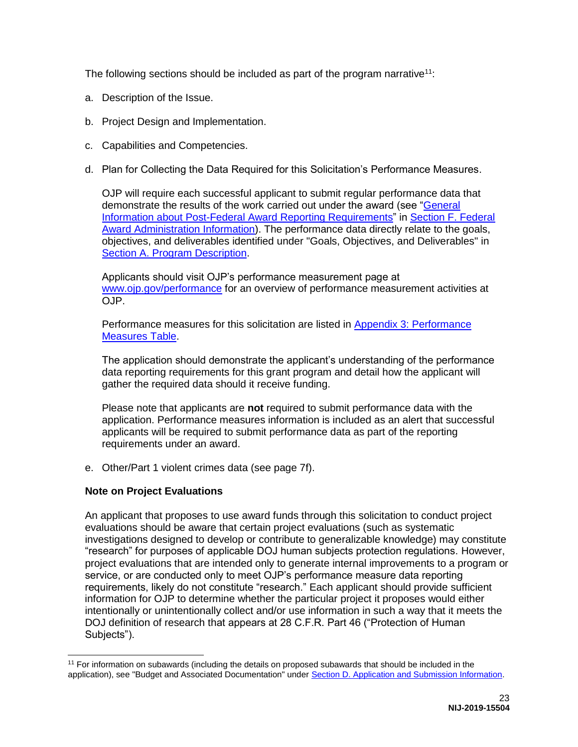The following sections should be included as part of the program narrative<sup>11</sup>:

- a. Description of the Issue.
- b. Project Design and Implementation.
- c. Capabilities and Competencies.
- d. Plan for Collecting the Data Required for this Solicitation's Performance Measures.

OJP will require each successful applicant to submit regular performance data that demonstrate the results of the work carried out under the award (see ["General](#page-43-0)  [Information about Post-Federal Award Reporting Requirements"](#page-43-0) in [Section F. Federal](#page-42-0)  [Award Administration Information\)](#page-42-0). The performance data directly relate to the goals, objectives, and deliverables identified under "Goals, Objectives, and Deliverables" in [Section A. Program Description.](#page-4-0)

Applicants should visit OJP's performance measurement page at [www.ojp.gov/performance](https://www.ojp.gov/performance) for an overview of performance measurement activities at OJP.

Performance measures for this solicitation are listed in [Appendix 3: Performance](#page-56-0)  [Measures Table.](#page-56-0)

The application should demonstrate the applicant's understanding of the performance data reporting requirements for this grant program and detail how the applicant will gather the required data should it receive funding.

Please note that applicants are **not** required to submit performance data with the application. Performance measures information is included as an alert that successful applicants will be required to submit performance data as part of the reporting requirements under an award.

e. Other/Part 1 violent crimes data (see page 7f).

#### **Note on Project Evaluations**

An applicant that proposes to use award funds through this solicitation to conduct project evaluations should be aware that certain project evaluations (such as systematic investigations designed to develop or contribute to generalizable knowledge) may constitute "research" for purposes of applicable DOJ human subjects protection regulations. However, project evaluations that are intended only to generate internal improvements to a program or service, or are conducted only to meet OJP's performance measure data reporting requirements, likely do not constitute "research." Each applicant should provide sufficient information for OJP to determine whether the particular project it proposes would either intentionally or unintentionally collect and/or use information in such a way that it meets the DOJ definition of research that appears at 28 C.F.R. Part 46 ("Protection of Human Subjects").

 $\overline{a}$ <sup>11</sup> For information on subawards (including the details on proposed subawards that should be included in the application), see "Budget and Associated Documentation" under [Section D. Application and Submission Information.](#page-19-0)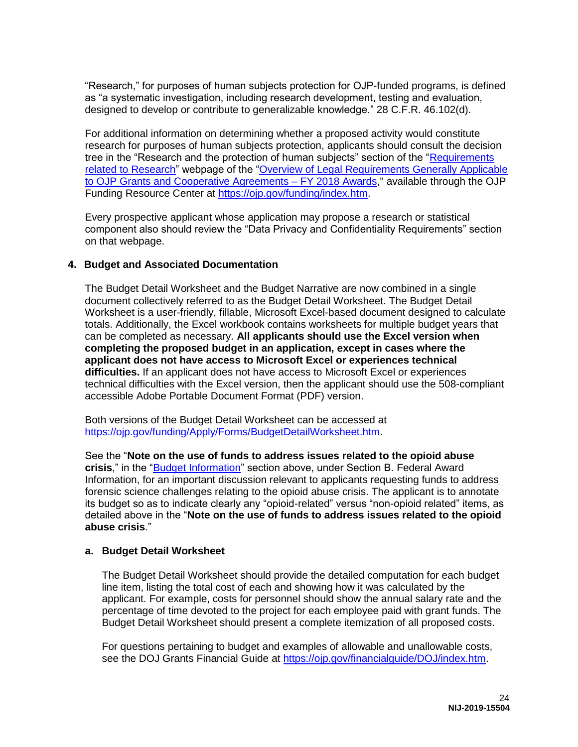"Research," for purposes of human subjects protection for OJP-funded programs, is defined as "a systematic investigation, including research development, testing and evaluation, designed to develop or contribute to generalizable knowledge." 28 C.F.R. 46.102(d).

For additional information on determining whether a proposed activity would constitute research for purposes of human subjects protection, applicants should consult the decision tree in the "Research and the protection of human subjects" section of the ["Requirements](https://ojp.gov/funding/Explore/SolicitationRequirements/EvidenceResearchEvaluationRequirements.htm)  [related to Research"](https://ojp.gov/funding/Explore/SolicitationRequirements/EvidenceResearchEvaluationRequirements.htm) webpage of the "Overview of Legal Requirements Generally Applicable [to OJP Grants and Cooperative Agreements – FY 2018 Awards,](https://ojp.gov/funding/Explore/LegalOverview/index.htm)" available through the OJP Funding Resource Center at [https://ojp.gov/funding/index.htm.](https://ojp.gov/funding/index.htm)

Every prospective applicant whose application may propose a research or statistical component also should review the "Data Privacy and Confidentiality Requirements" section on that webpage.

#### **4. Budget and Associated Documentation**

The Budget Detail Worksheet and the Budget Narrative are now combined in a single document collectively referred to as the Budget Detail Worksheet. The Budget Detail Worksheet is a user-friendly, fillable, Microsoft Excel-based document designed to calculate totals. Additionally, the Excel workbook contains worksheets for multiple budget years that can be completed as necessary. **All applicants should use the Excel version when completing the proposed budget in an application, except in cases where the applicant does not have access to Microsoft Excel or experiences technical difficulties.** If an applicant does not have access to Microsoft Excel or experiences technical difficulties with the Excel version, then the applicant should use the 508-compliant accessible Adobe Portable Document Format (PDF) version.

Both versions of the Budget Detail Worksheet can be accessed at [https://ojp.gov/funding/Apply/Forms/BudgetDetailWorksheet.htm.](https://ojp.gov/funding/Apply/Forms/BudgetDetailWorksheet.htm)

See the "**Note on the use of funds to address issues related to the opioid abuse crisis**," in the ["Budget Information"](#page-9-0) section above, under Section B. Federal Award Information, for an important discussion relevant to applicants requesting funds to address forensic science challenges relating to the opioid abuse crisis. The applicant is to annotate its budget so as to indicate clearly any "opioid-related" versus "non-opioid related" items, as detailed above in the "**Note on the use of funds to address issues related to the opioid abuse crisis**."

#### **a. Budget Detail Worksheet**

The Budget Detail Worksheet should provide the detailed computation for each budget line item, listing the total cost of each and showing how it was calculated by the applicant. For example, costs for personnel should show the annual salary rate and the percentage of time devoted to the project for each employee paid with grant funds. The Budget Detail Worksheet should present a complete itemization of all proposed costs.

For questions pertaining to budget and examples of allowable and unallowable costs, see the DOJ Grants Financial Guide at [https://ojp.gov/financialguide/DOJ/index.htm.](https://ojp.gov/financialguide/DOJ/index.htm)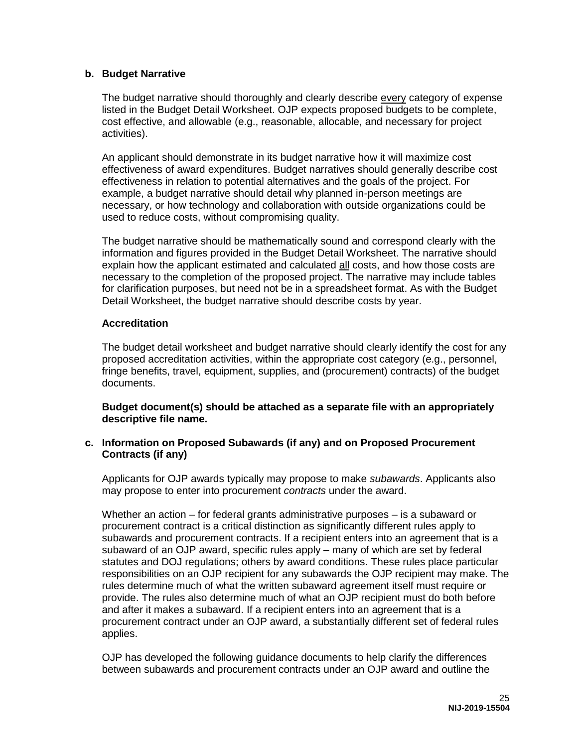#### **b. Budget Narrative**

The budget narrative should thoroughly and clearly describe every category of expense listed in the Budget Detail Worksheet. OJP expects proposed budgets to be complete, cost effective, and allowable (e.g., reasonable, allocable, and necessary for project activities).

An applicant should demonstrate in its budget narrative how it will maximize cost effectiveness of award expenditures. Budget narratives should generally describe cost effectiveness in relation to potential alternatives and the goals of the project. For example, a budget narrative should detail why planned in-person meetings are necessary, or how technology and collaboration with outside organizations could be used to reduce costs, without compromising quality.

The budget narrative should be mathematically sound and correspond clearly with the information and figures provided in the Budget Detail Worksheet. The narrative should explain how the applicant estimated and calculated all costs, and how those costs are necessary to the completion of the proposed project. The narrative may include tables for clarification purposes, but need not be in a spreadsheet format. As with the Budget Detail Worksheet, the budget narrative should describe costs by year.

#### **Accreditation**

The budget detail worksheet and budget narrative should clearly identify the cost for any proposed accreditation activities, within the appropriate cost category (e.g., personnel, fringe benefits, travel, equipment, supplies, and (procurement) contracts) of the budget documents.

**Budget document(s) should be attached as a separate file with an appropriately descriptive file name.** 

#### **c. Information on Proposed Subawards (if any) and on Proposed Procurement Contracts (if any)**

Applicants for OJP awards typically may propose to make *subawards*. Applicants also may propose to enter into procurement *contracts* under the award.

Whether an action – for federal grants administrative purposes – is a subaward or procurement contract is a critical distinction as significantly different rules apply to subawards and procurement contracts. If a recipient enters into an agreement that is a subaward of an OJP award, specific rules apply – many of which are set by federal statutes and DOJ regulations; others by award conditions. These rules place particular responsibilities on an OJP recipient for any subawards the OJP recipient may make. The rules determine much of what the written subaward agreement itself must require or provide. The rules also determine much of what an OJP recipient must do both before and after it makes a subaward. If a recipient enters into an agreement that is a procurement contract under an OJP award, a substantially different set of federal rules applies.

OJP has developed the following guidance documents to help clarify the differences between subawards and procurement contracts under an OJP award and outline the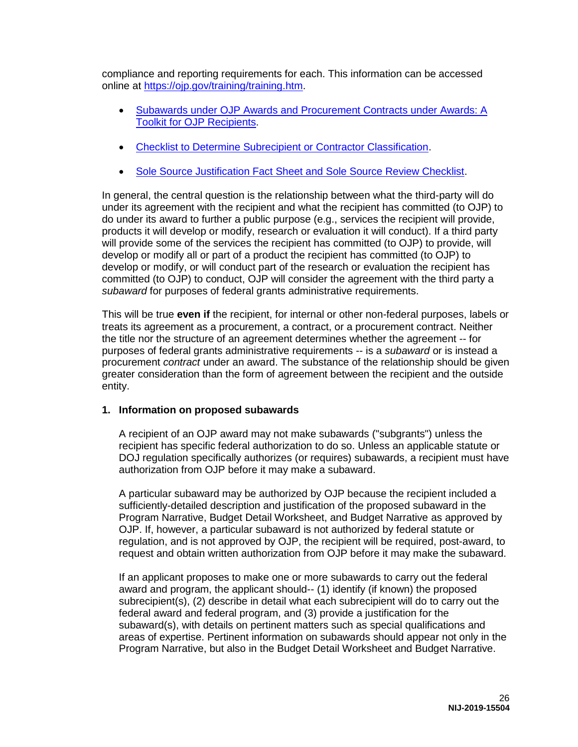compliance and reporting requirements for each. This information can be accessed online at [https://ojp.gov/training/training.htm.](https://ojp.gov/training/training.htm)

- [Subawards under OJP Awards and Procurement Contracts under Awards: A](https://ojp.gov/training/pdfs/Subaward-Procure-Toolkit-D.pdf)  [Toolkit for OJP Recipients.](https://ojp.gov/training/pdfs/Subaward-Procure-Toolkit-D.pdf)
- [Checklist to Determine Subrecipient or Contractor Classification.](https://ojp.gov/training/pdfs/Subrecipient-Procure-cklist-B.pdf)
- [Sole Source Justification Fact Sheet and Sole Source Review Checklist.](https://ojp.gov/training/pdfs/Sole-Source-FactSheet-C.pdf)

In general, the central question is the relationship between what the third-party will do under its agreement with the recipient and what the recipient has committed (to OJP) to do under its award to further a public purpose (e.g., services the recipient will provide, products it will develop or modify, research or evaluation it will conduct). If a third party will provide some of the services the recipient has committed (to OJP) to provide, will develop or modify all or part of a product the recipient has committed (to OJP) to develop or modify, or will conduct part of the research or evaluation the recipient has committed (to OJP) to conduct, OJP will consider the agreement with the third party a *subaward* for purposes of federal grants administrative requirements.

This will be true **even if** the recipient, for internal or other non-federal purposes, labels or treats its agreement as a procurement, a contract, or a procurement contract. Neither the title nor the structure of an agreement determines whether the agreement -- for purposes of federal grants administrative requirements -- is a *subaward* or is instead a procurement *contract* under an award. The substance of the relationship should be given greater consideration than the form of agreement between the recipient and the outside entity.

#### **1. Information on proposed subawards**

A recipient of an OJP award may not make subawards ("subgrants") unless the recipient has specific federal authorization to do so. Unless an applicable statute or DOJ regulation specifically authorizes (or requires) subawards, a recipient must have authorization from OJP before it may make a subaward.

A particular subaward may be authorized by OJP because the recipient included a sufficiently-detailed description and justification of the proposed subaward in the Program Narrative, Budget Detail Worksheet, and Budget Narrative as approved by OJP. If, however, a particular subaward is not authorized by federal statute or regulation, and is not approved by OJP, the recipient will be required, post-award, to request and obtain written authorization from OJP before it may make the subaward.

If an applicant proposes to make one or more subawards to carry out the federal award and program, the applicant should-- (1) identify (if known) the proposed subrecipient(s), (2) describe in detail what each subrecipient will do to carry out the federal award and federal program, and (3) provide a justification for the subaward(s), with details on pertinent matters such as special qualifications and areas of expertise. Pertinent information on subawards should appear not only in the Program Narrative, but also in the Budget Detail Worksheet and Budget Narrative.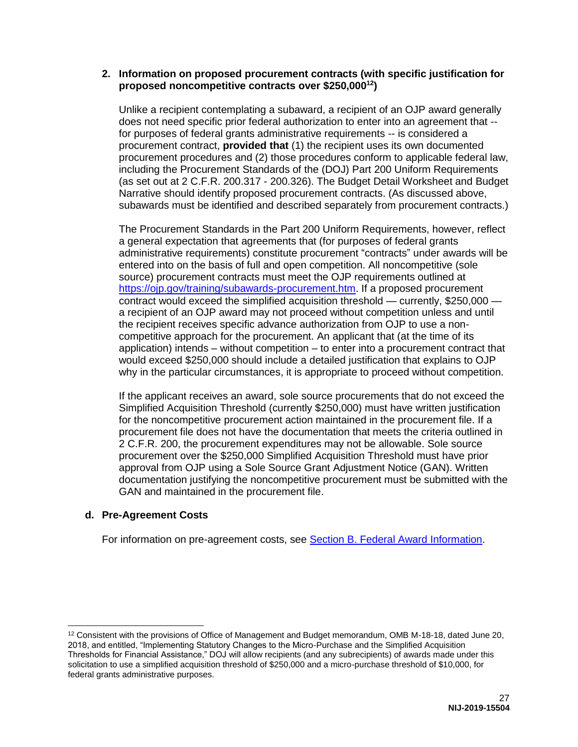#### **2. Information on proposed procurement contracts (with specific justification for proposed noncompetitive contracts over \$250,000<sup>12</sup>)**

Unlike a recipient contemplating a subaward, a recipient of an OJP award generally does not need specific prior federal authorization to enter into an agreement that - for purposes of federal grants administrative requirements -- is considered a procurement contract, **provided that** (1) the recipient uses its own documented procurement procedures and (2) those procedures conform to applicable federal law, including the Procurement Standards of the (DOJ) Part 200 Uniform Requirements (as set out at 2 C.F.R. 200.317 - 200.326). The Budget Detail Worksheet and Budget Narrative should identify proposed procurement contracts. (As discussed above, subawards must be identified and described separately from procurement contracts.)

The Procurement Standards in the Part 200 Uniform Requirements, however, reflect a general expectation that agreements that (for purposes of federal grants administrative requirements) constitute procurement "contracts" under awards will be entered into on the basis of full and open competition. All noncompetitive (sole source) procurement contracts must meet the OJP requirements outlined at [https://ojp.gov/training/subawards-procurement.htm.](https://ojp.gov/training/subawards-procurement.htm) If a proposed procurement contract would exceed the simplified acquisition threshold — currently, \$250,000 a recipient of an OJP award may not proceed without competition unless and until the recipient receives specific advance authorization from OJP to use a noncompetitive approach for the procurement. An applicant that (at the time of its application) intends – without competition – to enter into a procurement contract that would exceed \$250,000 should include a detailed justification that explains to OJP why in the particular circumstances, it is appropriate to proceed without competition.

If the applicant receives an award, sole source procurements that do not exceed the Simplified Acquisition Threshold (currently \$250,000) must have written justification for the noncompetitive procurement action maintained in the procurement file. If a procurement file does not have the documentation that meets the criteria outlined in 2 C.F.R. 200, the procurement expenditures may not be allowable. Sole source procurement over the \$250,000 Simplified Acquisition Threshold must have prior approval from OJP using a Sole Source Grant Adjustment Notice (GAN). Written documentation justifying the noncompetitive procurement must be submitted with the GAN and maintained in the procurement file.

#### **d. Pre-Agreement Costs**

For information on pre-agreement costs, see [Section B. Federal Award Information.](#page-7-0)

 $\overline{a}$ <sup>12</sup> Consistent with the provisions of Office of Management and Budget memorandum, OMB M-18-18, dated June 20, 2018, and entitled, "Implementing Statutory Changes to the Micro-Purchase and the Simplified Acquisition Thresholds for Financial Assistance," DOJ will allow recipients (and any subrecipients) of awards made under this solicitation to use a simplified acquisition threshold of \$250,000 and a micro-purchase threshold of \$10,000, for federal grants administrative purposes.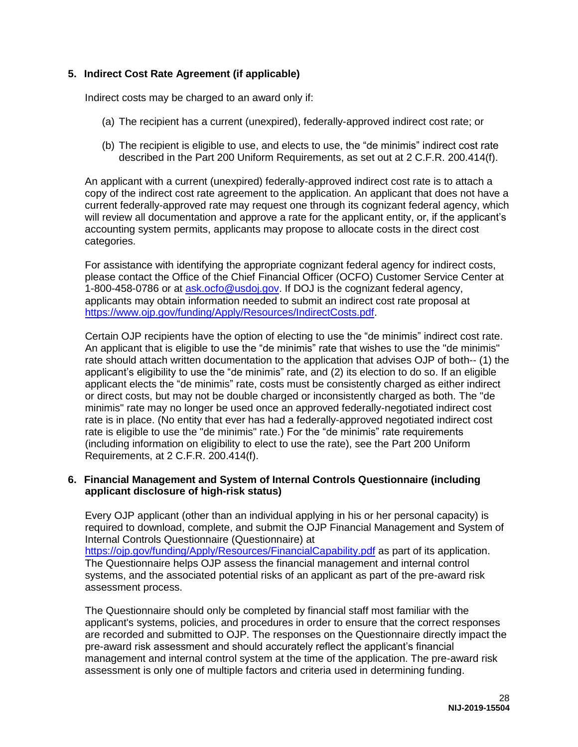#### **5. Indirect Cost Rate Agreement (if applicable)**

Indirect costs may be charged to an award only if:

- (a) The recipient has a current (unexpired), federally-approved indirect cost rate; or
- (b) The recipient is eligible to use, and elects to use, the "de minimis" indirect cost rate described in the Part 200 Uniform Requirements, as set out at 2 C.F.R. 200.414(f).

An applicant with a current (unexpired) federally-approved indirect cost rate is to attach a copy of the indirect cost rate agreement to the application. An applicant that does not have a current federally-approved rate may request one through its cognizant federal agency, which will review all documentation and approve a rate for the applicant entity, or, if the applicant's accounting system permits, applicants may propose to allocate costs in the direct cost categories.

For assistance with identifying the appropriate cognizant federal agency for indirect costs, please contact the Office of the Chief Financial Officer (OCFO) Customer Service Center at 1-800-458-0786 or at [ask.ocfo@usdoj.gov.](mailto:ask.ocfo@usdoj.gov) If DOJ is the cognizant federal agency, applicants may obtain information needed to submit an indirect cost rate proposal at [https://www.ojp.gov/funding/Apply/Resources/IndirectCosts.pdf.](https://www.ojp.gov/funding/Apply/Resources/IndirectCosts.pdf)

Certain OJP recipients have the option of electing to use the "de minimis" indirect cost rate. An applicant that is eligible to use the "de minimis" rate that wishes to use the "de minimis" rate should attach written documentation to the application that advises OJP of both-- (1) the applicant's eligibility to use the "de minimis" rate, and (2) its election to do so. If an eligible applicant elects the "de minimis" rate, costs must be consistently charged as either indirect or direct costs, but may not be double charged or inconsistently charged as both. The "de minimis" rate may no longer be used once an approved federally-negotiated indirect cost rate is in place. (No entity that ever has had a federally-approved negotiated indirect cost rate is eligible to use the "de minimis" rate.) For the "de minimis" rate requirements (including information on eligibility to elect to use the rate), see the Part 200 Uniform Requirements, at 2 C.F.R. 200.414(f).

#### **6. Financial Management and System of Internal Controls Questionnaire (including applicant disclosure of high-risk status)**

Every OJP applicant (other than an individual applying in his or her personal capacity) is required to download, complete, and submit the OJP Financial Management and System of Internal Controls Questionnaire (Questionnaire) at <https://ojp.gov/funding/Apply/Resources/FinancialCapability.pdf>as part of its application. The Questionnaire helps OJP assess the financial management and internal control systems, and the associated potential risks of an applicant as part of the pre-award risk assessment process.

The Questionnaire should only be completed by financial staff most familiar with the applicant's systems, policies, and procedures in order to ensure that the correct responses are recorded and submitted to OJP. The responses on the Questionnaire directly impact the pre-award risk assessment and should accurately reflect the applicant's financial management and internal control system at the time of the application. The pre-award risk assessment is only one of multiple factors and criteria used in determining funding.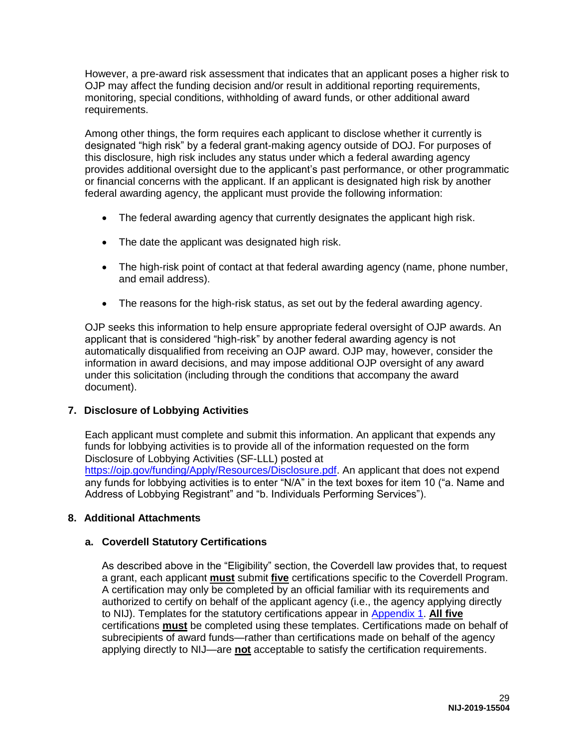However, a pre-award risk assessment that indicates that an applicant poses a higher risk to OJP may affect the funding decision and/or result in additional reporting requirements, monitoring, special conditions, withholding of award funds, or other additional award requirements.

Among other things, the form requires each applicant to disclose whether it currently is designated "high risk" by a federal grant-making agency outside of DOJ. For purposes of this disclosure, high risk includes any status under which a federal awarding agency provides additional oversight due to the applicant's past performance, or other programmatic or financial concerns with the applicant. If an applicant is designated high risk by another federal awarding agency, the applicant must provide the following information:

- The federal awarding agency that currently designates the applicant high risk.
- The date the applicant was designated high risk.
- The high-risk point of contact at that federal awarding agency (name, phone number, and email address).
- The reasons for the high-risk status, as set out by the federal awarding agency.

OJP seeks this information to help ensure appropriate federal oversight of OJP awards. An applicant that is considered "high-risk" by another federal awarding agency is not automatically disqualified from receiving an OJP award. OJP may, however, consider the information in award decisions, and may impose additional OJP oversight of any award under this solicitation (including through the conditions that accompany the award document).

#### **7. Disclosure of Lobbying Activities**

Each applicant must complete and submit this information. An applicant that expends any funds for lobbying activities is to provide all of the information requested on the form Disclosure of Lobbying Activities (SF-LLL) posted at [https://ojp.gov/funding/Apply/Resources/Disclosure.pdf.](https://ojp.gov/funding/Apply/Resources/Disclosure.pdf) An applicant that does not expend any funds for lobbying activities is to enter "N/A" in the text boxes for item 10 ("a. Name and Address of Lobbying Registrant" and "b. Individuals Performing Services").

#### **8. Additional Attachments**

#### **a. Coverdell Statutory Certifications**

As described above in the "Eligibility" section, the Coverdell law provides that, to request a grant, each applicant **must** submit **five** certifications specific to the Coverdell Program. A certification may only be completed by an official familiar with its requirements and authorized to certify on behalf of the applicant agency (i.e., the agency applying directly to NIJ). Templates for the statutory certifications appear in [Appendix 1.](#page-46-0) **All five** certifications **must** be completed using these templates. Certifications made on behalf of subrecipients of award funds—rather than certifications made on behalf of the agency applying directly to NIJ—are **not** acceptable to satisfy the certification requirements.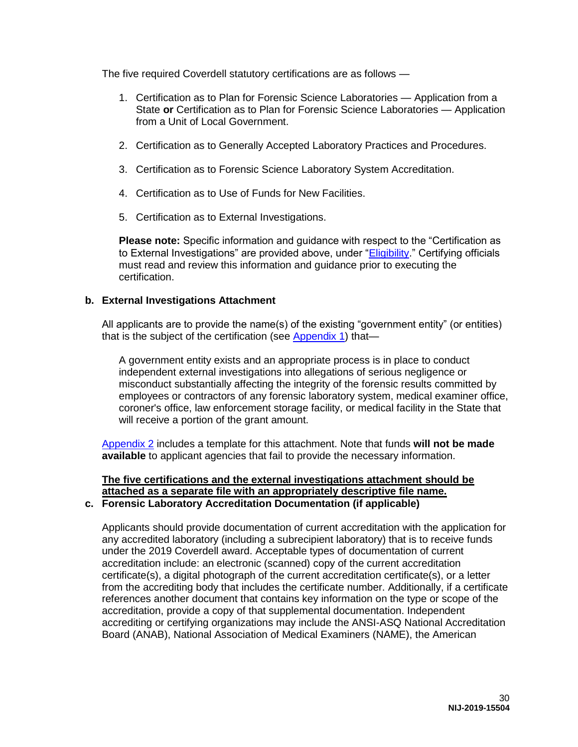The five required Coverdell statutory certifications are as follows —

- 1. Certification as to Plan for Forensic Science Laboratories Application from a State **or** Certification as to Plan for Forensic Science Laboratories — Application from a Unit of Local Government.
- 2. Certification as to Generally Accepted Laboratory Practices and Procedures.
- 3. Certification as to Forensic Science Laboratory System Accreditation.
- 4. Certification as to Use of Funds for New Facilities.
- 5. Certification as to External Investigations.

**Please note:** Specific information and guidance with respect to the "Certification as to External Investigations" are provided above, under "*Eligibility*." Certifying officials must read and review this information and guidance prior to executing the certification.

#### **b. External Investigations Attachment**

All applicants are to provide the name(s) of the existing "government entity" (or entities) that is the subject of the certification (see [Appendix 1\)](#page-46-0) that-

A government entity exists and an appropriate process is in place to conduct independent external investigations into allegations of serious negligence or misconduct substantially affecting the integrity of the forensic results committed by employees or contractors of any forensic laboratory system, medical examiner office, coroner's office, law enforcement storage facility, or medical facility in the State that will receive a portion of the grant amount.

[Appendix 2](#page-53-0) includes a template for this attachment. Note that funds **will not be made available** to applicant agencies that fail to provide the necessary information.

### **The five certifications and the external investigations attachment should be attached as a separate file with an appropriately descriptive file name.**

### **c. Forensic Laboratory Accreditation Documentation (if applicable)**

Applicants should provide documentation of current accreditation with the application for any accredited laboratory (including a subrecipient laboratory) that is to receive funds under the 2019 Coverdell award. Acceptable types of documentation of current accreditation include: an electronic (scanned) copy of the current accreditation certificate(s), a digital photograph of the current accreditation certificate(s), or a letter from the accrediting body that includes the certificate number. Additionally, if a certificate references another document that contains key information on the type or scope of the accreditation, provide a copy of that supplemental documentation. Independent accrediting or certifying organizations may include the ANSI-ASQ National Accreditation Board (ANAB), National Association of Medical Examiners (NAME), the American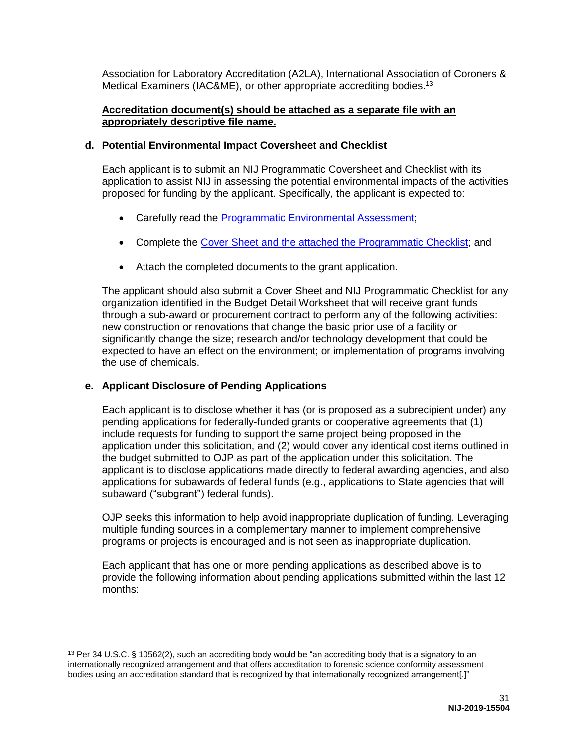Association for Laboratory Accreditation (A2LA), International Association of Coroners & Medical Examiners (IAC&ME), or other appropriate accrediting bodies.<sup>13</sup>

#### **Accreditation document(s) should be attached as a separate file with an appropriately descriptive file name.**

#### **d. Potential Environmental Impact Coversheet and Checklist**

Each applicant is to submit an NIJ Programmatic Coversheet and Checklist with its application to assist NIJ in assessing the potential environmental impacts of the activities proposed for funding by the applicant. Specifically, the applicant is expected to:

- Carefully read the [Programmatic Environmental Assessment;](http://nij.gov/funding/Documents/nij-programmatic-ea.pdf)
- Complete the [Cover Sheet and the attached the Programmatic Checklist;](https://nij.gov/funding/Documents/nij-grant-program-checklist-nepa.pdf) and
- Attach the completed documents to the grant application.

The applicant should also submit a Cover Sheet and NIJ Programmatic Checklist for any organization identified in the Budget Detail Worksheet that will receive grant funds through a sub-award or procurement contract to perform any of the following activities: new construction or renovations that change the basic prior use of a facility or significantly change the size; research and/or technology development that could be expected to have an effect on the environment; or implementation of programs involving the use of chemicals.

#### **e. Applicant Disclosure of Pending Applications**

Each applicant is to disclose whether it has (or is proposed as a subrecipient under) any pending applications for federally-funded grants or cooperative agreements that (1) include requests for funding to support the same project being proposed in the application under this solicitation, and (2) would cover any identical cost items outlined in the budget submitted to OJP as part of the application under this solicitation. The applicant is to disclose applications made directly to federal awarding agencies, and also applications for subawards of federal funds (e.g., applications to State agencies that will subaward ("subgrant") federal funds).

OJP seeks this information to help avoid inappropriate duplication of funding. Leveraging multiple funding sources in a complementary manner to implement comprehensive programs or projects is encouraged and is not seen as inappropriate duplication.

Each applicant that has one or more pending applications as described above is to provide the following information about pending applications submitted within the last 12 months:

<sup>&</sup>lt;sup>13</sup> Per 34 U.S.C. § 10562(2), such an accrediting body would be "an accrediting body that is a signatory to an internationally recognized arrangement and that offers accreditation to forensic science conformity assessment bodies using an accreditation standard that is recognized by that internationally recognized arrangement[.]"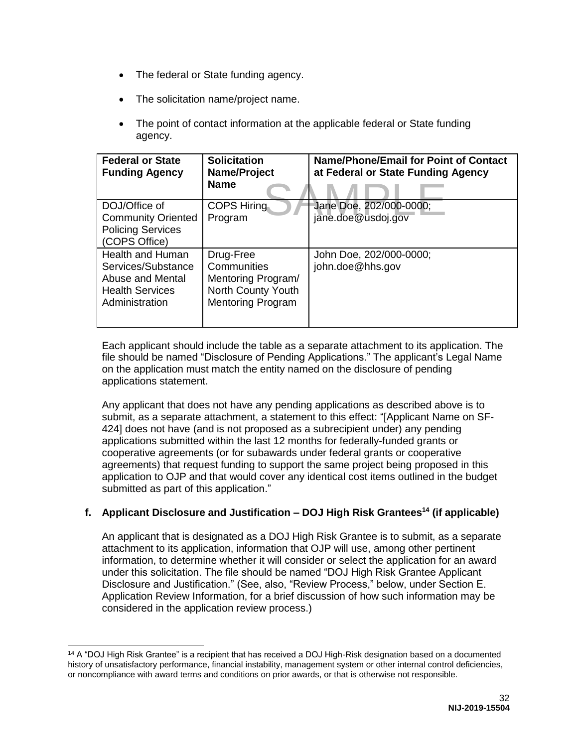- The federal or State funding agency.
- The solicitation name/project name.
- The point of contact information at the applicable federal or State funding agency.

| <b>Federal or State</b><br><b>Funding Agency</b>                                                              | <b>Solicitation</b><br>Name/Project<br><b>Name</b>                                               | <b>Name/Phone/Email for Point of Contact</b><br>at Federal or State Funding Agency |
|---------------------------------------------------------------------------------------------------------------|--------------------------------------------------------------------------------------------------|------------------------------------------------------------------------------------|
| DOJ/Office of<br><b>Community Oriented</b><br><b>Policing Services</b><br>(COPS Office)                       | <b>COPS Hiring</b><br>Program                                                                    | Jane Doe, 202/000-0000;<br>jane.doe@usdoj.gov                                      |
| <b>Health and Human</b><br>Services/Substance<br>Abuse and Mental<br><b>Health Services</b><br>Administration | Drug-Free<br>Communities<br>Mentoring Program/<br>North County Youth<br><b>Mentoring Program</b> | John Doe, 202/000-0000;<br>john.doe@hhs.gov                                        |

Each applicant should include the table as a separate attachment to its application. The file should be named "Disclosure of Pending Applications." The applicant's Legal Name on the application must match the entity named on the disclosure of pending applications statement.

Any applicant that does not have any pending applications as described above is to submit, as a separate attachment, a statement to this effect: "[Applicant Name on SF-424] does not have (and is not proposed as a subrecipient under) any pending applications submitted within the last 12 months for federally-funded grants or cooperative agreements (or for subawards under federal grants or cooperative agreements) that request funding to support the same project being proposed in this application to OJP and that would cover any identical cost items outlined in the budget submitted as part of this application."

### **f. Applicant Disclosure and Justification – DOJ High Risk Grantees<sup>14</sup> (if applicable)**

An applicant that is designated as a DOJ High Risk Grantee is to submit, as a separate attachment to its application, information that OJP will use, among other pertinent information, to determine whether it will consider or select the application for an award under this solicitation. The file should be named "DOJ High Risk Grantee Applicant Disclosure and Justification." (See, also, "Review Process," below, under Section E. Application Review Information, for a brief discussion of how such information may be considered in the application review process.)

<sup>&</sup>lt;sup>14</sup> A "DOJ High Risk Grantee" is a recipient that has received a DOJ High-Risk designation based on a documented history of unsatisfactory performance, financial instability, management system or other internal control deficiencies, or noncompliance with award terms and conditions on prior awards, or that is otherwise not responsible.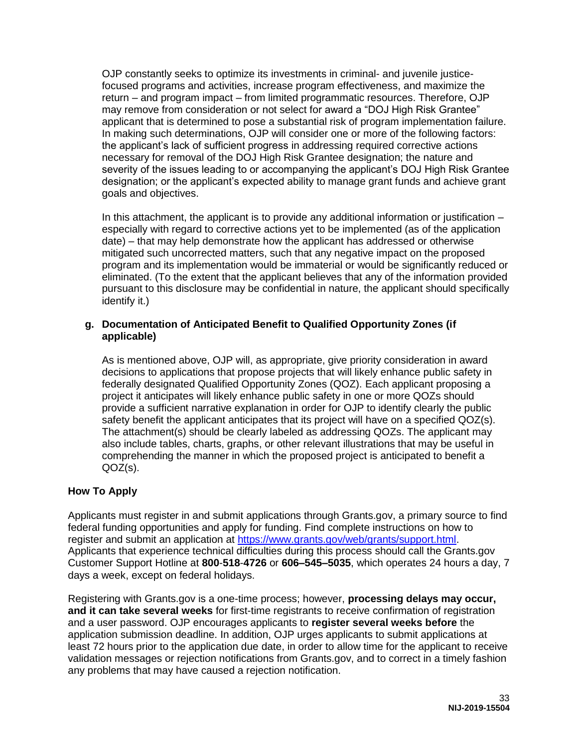OJP constantly seeks to optimize its investments in criminal- and juvenile justicefocused programs and activities, increase program effectiveness, and maximize the return – and program impact – from limited programmatic resources. Therefore, OJP may remove from consideration or not select for award a "DOJ High Risk Grantee" applicant that is determined to pose a substantial risk of program implementation failure. In making such determinations, OJP will consider one or more of the following factors: the applicant's lack of sufficient progress in addressing required corrective actions necessary for removal of the DOJ High Risk Grantee designation; the nature and severity of the issues leading to or accompanying the applicant's DOJ High Risk Grantee designation; or the applicant's expected ability to manage grant funds and achieve grant goals and objectives.

In this attachment, the applicant is to provide any additional information or justification – especially with regard to corrective actions yet to be implemented (as of the application date) – that may help demonstrate how the applicant has addressed or otherwise mitigated such uncorrected matters, such that any negative impact on the proposed program and its implementation would be immaterial or would be significantly reduced or eliminated. (To the extent that the applicant believes that any of the information provided pursuant to this disclosure may be confidential in nature, the applicant should specifically identify it.)

#### **g. Documentation of Anticipated Benefit to Qualified Opportunity Zones (if applicable)**

As is mentioned above, OJP will, as appropriate, give priority consideration in award decisions to applications that propose projects that will likely enhance public safety in federally designated Qualified Opportunity Zones (QOZ). Each applicant proposing a project it anticipates will likely enhance public safety in one or more QOZs should provide a sufficient narrative explanation in order for OJP to identify clearly the public safety benefit the applicant anticipates that its project will have on a specified QOZ(s). The attachment(s) should be clearly labeled as addressing QOZs. The applicant may also include tables, charts, graphs, or other relevant illustrations that may be useful in comprehending the manner in which the proposed project is anticipated to benefit a QOZ(s).

#### <span id="page-33-0"></span>**How To Apply**

Applicants must register in and submit applications through Grants.gov, a primary source to find federal funding opportunities and apply for funding. Find complete instructions on how to register and submit an application at [https://www.grants.gov/web/grants/support.html.](https://www.grants.gov/web/grants/support.html) Applicants that experience technical difficulties during this process should call the Grants.gov Customer Support Hotline at **800**-**518**-**4726** or **606–545–5035**, which operates 24 hours a day, 7 days a week, except on federal holidays.

Registering with Grants.gov is a one-time process; however, **processing delays may occur, and it can take several weeks** for first-time registrants to receive confirmation of registration and a user password. OJP encourages applicants to **register several weeks before** the application submission deadline. In addition, OJP urges applicants to submit applications at least 72 hours prior to the application due date, in order to allow time for the applicant to receive validation messages or rejection notifications from Grants.gov, and to correct in a timely fashion any problems that may have caused a rejection notification.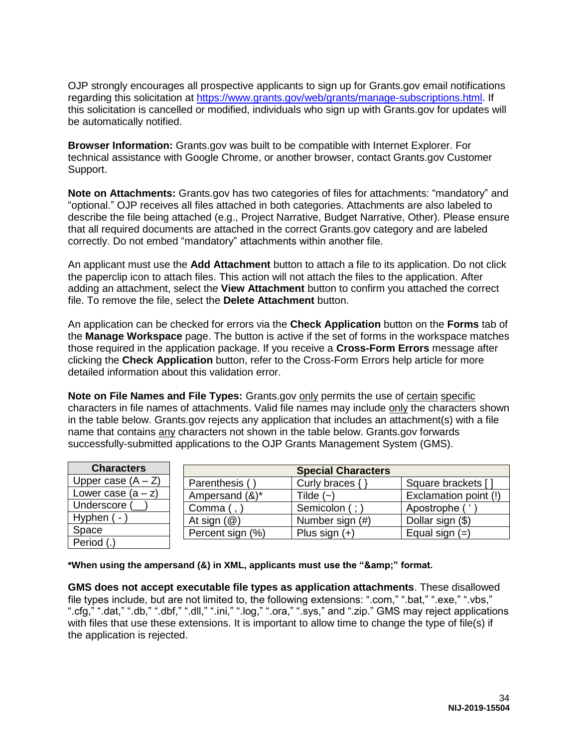OJP strongly encourages all prospective applicants to sign up for Grants.gov email notifications regarding this solicitation at [https://www.grants.gov/web/grants/manage-subscriptions.html.](https://www.grants.gov/web/grants/manage-subscriptions.html) If this solicitation is cancelled or modified, individuals who sign up with Grants.gov for updates will be automatically notified.

**Browser Information:** Grants.gov was built to be compatible with Internet Explorer. For technical assistance with Google Chrome, or another browser, contact Grants.gov Customer Support.

**Note on Attachments:** Grants.gov has two categories of files for attachments: "mandatory" and "optional." OJP receives all files attached in both categories. Attachments are also labeled to describe the file being attached (e.g., Project Narrative, Budget Narrative, Other). Please ensure that all required documents are attached in the correct Grants.gov category and are labeled correctly. Do not embed "mandatory" attachments within another file.

An applicant must use the **Add Attachment** button to attach a file to its application. Do not click the paperclip icon to attach files. This action will not attach the files to the application. After adding an attachment, select the **View Attachment** button to confirm you attached the correct file. To remove the file, select the **Delete Attachment** button.

An application can be checked for errors via the **Check Application** button on the **Forms** tab of the **Manage Workspace** page. The button is active if the set of forms in the workspace matches those required in the application package. If you receive a **Cross-Form Errors** message after clicking the **Check Application** button, refer to the Cross-Form Errors help article for more detailed information about this validation error.

**Note on File Names and File Types:** Grants.gov only permits the use of certain specific characters in file names of attachments. Valid file names may include only the characters shown in the table below. Grants.gov rejects any application that includes an attachment(s) with a file name that contains any characters not shown in the table below. Grants.gov forwards successfully-submitted applications to the OJP Grants Management System (GMS).

| <b>Characters</b>    |                         | <b>Special Characters</b> |                       |
|----------------------|-------------------------|---------------------------|-----------------------|
| Upper case $(A - Z)$ | Parenthesis (           | Curly braces {            | Square brackets [     |
| Lower case $(a - z)$ | Ampersand (&)*          | Tilde $(-)$               | Exclamation point (!) |
| Underscore (         | Comma (,                | Semicolon (; )            | Apostrophe ('         |
| Hyphen (-            | At sign $(\mathcal{Q})$ | Number sign (#)           | Dollar sign (\$)      |
| Space                | Percent sign (%)        | Plus sign $(+)$           | Equal sign $(=)$      |
| Period (.)           |                         |                           |                       |

\*When using the ampersand (&) in XML, applicants must use the "&" format.

**GMS does not accept executable file types as application attachments**. These disallowed file types include, but are not limited to, the following extensions: ".com," ".bat," ".exe," ".vbs," ".cfg," ".dat," ".db," ".dbf," ".dll," ".ini," ".log," ".ora," ".sys," and ".zip." GMS may reject applications with files that use these extensions. It is important to allow time to change the type of file(s) if the application is rejected.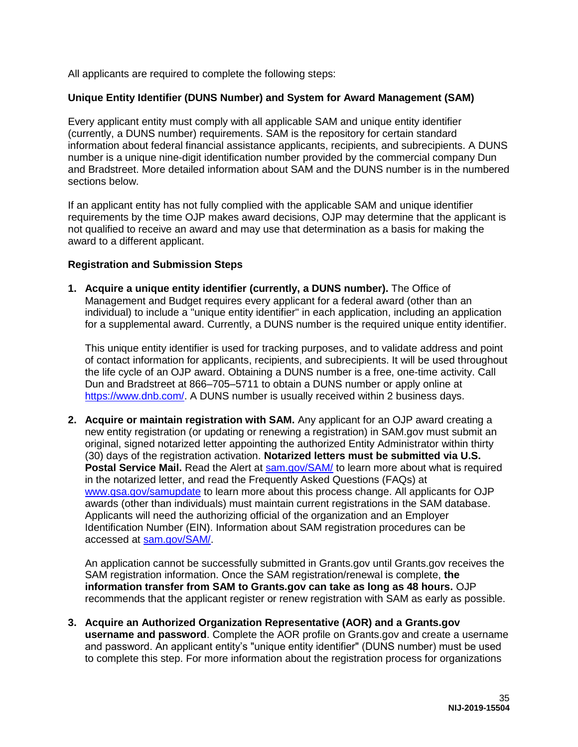All applicants are required to complete the following steps:

#### **Unique Entity Identifier (DUNS Number) and System for Award Management (SAM)**

Every applicant entity must comply with all applicable SAM and unique entity identifier (currently, a DUNS number) requirements. SAM is the repository for certain standard information about federal financial assistance applicants, recipients, and subrecipients. A DUNS number is a unique nine-digit identification number provided by the commercial company Dun and Bradstreet. More detailed information about SAM and the DUNS number is in the numbered sections below.

If an applicant entity has not fully complied with the applicable SAM and unique identifier requirements by the time OJP makes award decisions, OJP may determine that the applicant is not qualified to receive an award and may use that determination as a basis for making the award to a different applicant.

#### **Registration and Submission Steps**

**1. Acquire a unique entity identifier (currently, a DUNS number).** The Office of Management and Budget requires every applicant for a federal award (other than an individual) to include a "unique entity identifier" in each application, including an application for a supplemental award. Currently, a DUNS number is the required unique entity identifier.

This unique entity identifier is used for tracking purposes, and to validate address and point of contact information for applicants, recipients, and subrecipients. It will be used throughout the life cycle of an OJP award. Obtaining a DUNS number is a free, one-time activity. Call Dun and Bradstreet at 866–705–5711 to obtain a DUNS number or apply online at [https://www.dnb.com/.](https://www.dnb.com/) A DUNS number is usually received within 2 business days.

**2. Acquire or maintain registration with SAM.** Any applicant for an OJP award creating a new entity registration (or updating or renewing a registration) in SAM.gov must submit an original, signed notarized letter appointing the authorized Entity Administrator within thirty (30) days of the registration activation. **Notarized letters must be submitted via U.S. Postal Service Mail.** Read the Alert at [sam.gov/SAM/](https://sam.gov/SAM/) to learn more about what is required in the notarized letter, and read the Frequently Asked Questions (FAQs) at [www.gsa.gov/samupdate](https://www.gsa.gov/samupdate) to learn more about this process change. All applicants for OJP awards (other than individuals) must maintain current registrations in the SAM database. Applicants will need the authorizing official of the organization and an Employer Identification Number (EIN). Information about SAM registration procedures can be accessed at [sam.gov/SAM/.](https://sam.gov/SAM/)

An application cannot be successfully submitted in Grants.gov until Grants.gov receives the SAM registration information. Once the SAM registration/renewal is complete, **the information transfer from SAM to Grants.gov can take as long as 48 hours.** OJP recommends that the applicant register or renew registration with SAM as early as possible.

**3. Acquire an Authorized Organization Representative (AOR) and a Grants.gov username and password**. Complete the AOR profile on Grants.gov and create a username and password. An applicant entity's "unique entity identifier" (DUNS number) must be used to complete this step. For more information about the registration process for organizations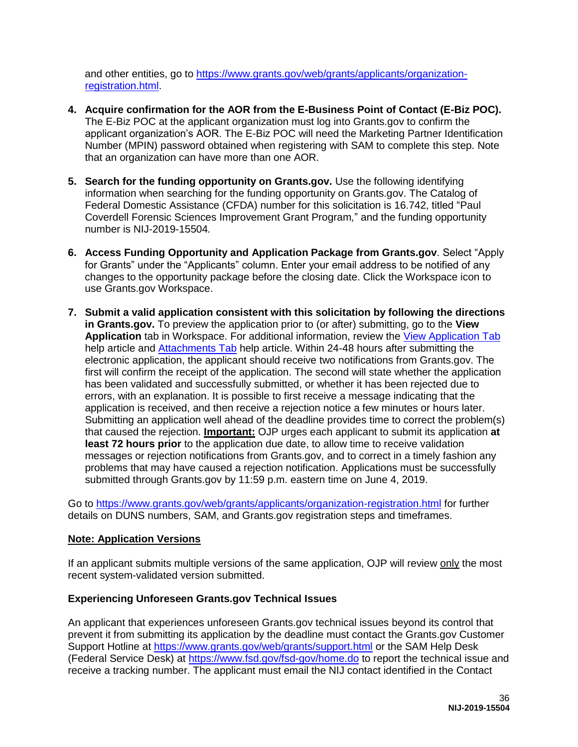and other entities, go to [https://www.grants.gov/web/grants/applicants/organization](https://www.grants.gov/web/grants/applicants/organization-registration.html)[registration.html.](https://www.grants.gov/web/grants/applicants/organization-registration.html)

- **4. Acquire confirmation for the AOR from the E-Business Point of Contact (E-Biz POC).**  The E-Biz POC at the applicant organization must log into Grants.gov to confirm the applicant organization's AOR. The E-Biz POC will need the Marketing Partner Identification Number (MPIN) password obtained when registering with SAM to complete this step. Note that an organization can have more than one AOR.
- **5. Search for the funding opportunity on Grants.gov.** Use the following identifying information when searching for the funding opportunity on Grants.gov. The Catalog of Federal Domestic Assistance (CFDA) number for this solicitation is 16.742, titled "Paul Coverdell Forensic Sciences Improvement Grant Program*,*" and the funding opportunity number is NIJ-2019-15504*.*
- **6. Access Funding Opportunity and Application Package from Grants.gov**. Select "Apply for Grants" under the "Applicants" column. Enter your email address to be notified of any changes to the opportunity package before the closing date. Click the Workspace icon to use Grants.gov Workspace.
- **7. Submit a valid application consistent with this solicitation by following the directions in Grants.gov.** To preview the application prior to (or after) submitting, go to the **View Application** tab in Workspace. For additional information, review the [View Application Tab](https://www.grants.gov/help/html/help/ManageWorkspaces/ViewApplicationTab.htm) help article and [Attachments Tab](https://www.grants.gov/help/html/help/ManageWorkspaces/AttachmentsTab.htm) help article. Within 24-48 hours after submitting the electronic application, the applicant should receive two notifications from Grants.gov. The first will confirm the receipt of the application. The second will state whether the application has been validated and successfully submitted, or whether it has been rejected due to errors, with an explanation. It is possible to first receive a message indicating that the application is received, and then receive a rejection notice a few minutes or hours later. Submitting an application well ahead of the deadline provides time to correct the problem(s) that caused the rejection. **Important:** OJP urges each applicant to submit its application **at least 72 hours prior** to the application due date, to allow time to receive validation messages or rejection notifications from Grants.gov, and to correct in a timely fashion any problems that may have caused a rejection notification. Applications must be successfully submitted through Grants.gov by 11:59 p.m. eastern time on June 4, 2019.

Go to<https://www.grants.gov/web/grants/applicants/organization-registration.html>for further details on DUNS numbers, SAM, and Grants.gov registration steps and timeframes.

#### **Note: Application Versions**

If an applicant submits multiple versions of the same application, OJP will review only the most recent system-validated version submitted.

#### **Experiencing Unforeseen Grants.gov Technical Issues**

An applicant that experiences unforeseen Grants.gov technical issues beyond its control that prevent it from submitting its application by the deadline must contact the Grants.gov Customer Support Hotline at<https://www.grants.gov/web/grants/support.html>or the SAM Help Desk (Federal Service Desk) at<https://www.fsd.gov/fsd-gov/home.do>to report the technical issue and receive a tracking number. The applicant must email the NIJ contact identified in the Contact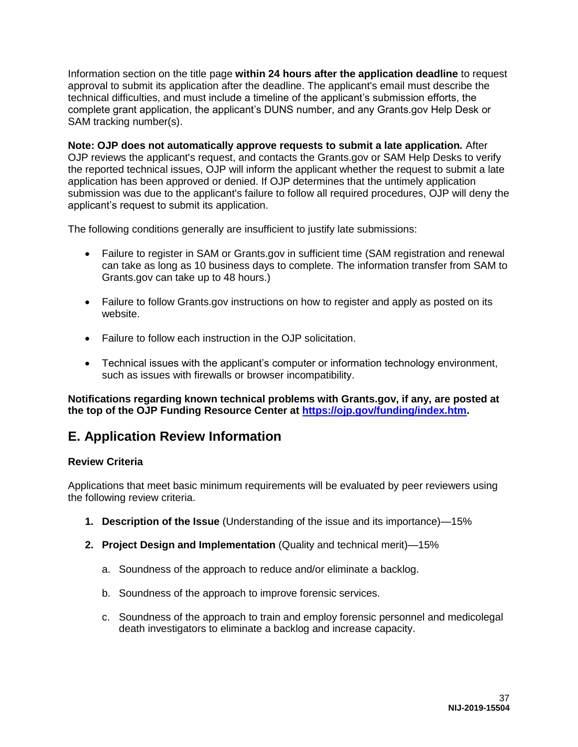Information section on the title page **within 24 hours after the application deadline** to request approval to submit its application after the deadline. The applicant's email must describe the technical difficulties, and must include a timeline of the applicant's submission efforts, the complete grant application, the applicant's DUNS number, and any Grants.gov Help Desk or SAM tracking number(s).

**Note: OJP does not automatically approve requests to submit a late application***.* After OJP reviews the applicant's request, and contacts the Grants.gov or SAM Help Desks to verify the reported technical issues, OJP will inform the applicant whether the request to submit a late application has been approved or denied. If OJP determines that the untimely application submission was due to the applicant's failure to follow all required procedures, OJP will deny the applicant's request to submit its application.

The following conditions generally are insufficient to justify late submissions:

- Failure to register in SAM or Grants.gov in sufficient time (SAM registration and renewal can take as long as 10 business days to complete. The information transfer from SAM to Grants.gov can take up to 48 hours.)
- Failure to follow Grants.gov instructions on how to register and apply as posted on its website.
- Failure to follow each instruction in the OJP solicitation.
- Technical issues with the applicant's computer or information technology environment, such as issues with firewalls or browser incompatibility.

**Notifications regarding known technical problems with Grants.gov, if any, are posted at the top of the OJP Funding Resource Center at [https://ojp.gov/funding/index.htm.](https://ojp.gov/funding/index.htm)**

### <span id="page-37-0"></span>**E. Application Review Information**

#### <span id="page-37-1"></span>**Review Criteria**

Applications that meet basic minimum requirements will be evaluated by peer reviewers using the following review criteria.

- **1. Description of the Issue** (Understanding of the issue and its importance)—15%
- **2. Project Design and Implementation** (Quality and technical merit)—15%
	- a. Soundness of the approach to reduce and/or eliminate a backlog.
	- b. Soundness of the approach to improve forensic services.
	- c. Soundness of the approach to train and employ forensic personnel and medicolegal death investigators to eliminate a backlog and increase capacity.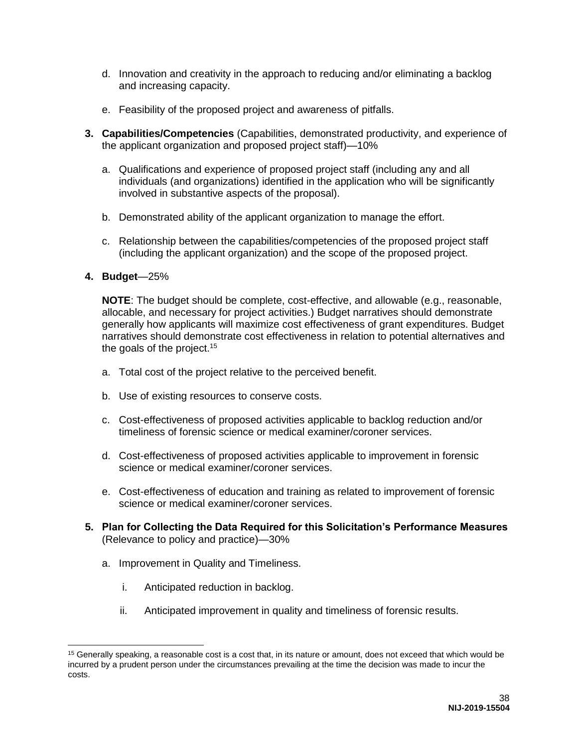- d. Innovation and creativity in the approach to reducing and/or eliminating a backlog and increasing capacity.
- e. Feasibility of the proposed project and awareness of pitfalls.
- **3. Capabilities/Competencies** (Capabilities, demonstrated productivity, and experience of the applicant organization and proposed project staff)—10%
	- a. Qualifications and experience of proposed project staff (including any and all individuals (and organizations) identified in the application who will be significantly involved in substantive aspects of the proposal).
	- b. Demonstrated ability of the applicant organization to manage the effort.
	- c. Relationship between the capabilities/competencies of the proposed project staff (including the applicant organization) and the scope of the proposed project.

#### **4. Budget**—25%

**NOTE**: The budget should be complete, cost-effective, and allowable (e.g., reasonable, allocable, and necessary for project activities.) Budget narratives should demonstrate generally how applicants will maximize cost effectiveness of grant expenditures. Budget narratives should demonstrate cost effectiveness in relation to potential alternatives and the goals of the project.<sup>15</sup>

- a. Total cost of the project relative to the perceived benefit.
- b. Use of existing resources to conserve costs.
- c. Cost-effectiveness of proposed activities applicable to backlog reduction and/or timeliness of forensic science or medical examiner/coroner services.
- d. Cost-effectiveness of proposed activities applicable to improvement in forensic science or medical examiner/coroner services.
- e. Cost-effectiveness of education and training as related to improvement of forensic science or medical examiner/coroner services.
- **5. Plan for Collecting the Data Required for this Solicitation's Performance Measures** (Relevance to policy and practice)—30%
	- a. Improvement in Quality and Timeliness.
		- i. Anticipated reduction in backlog.
		- ii. Anticipated improvement in quality and timeliness of forensic results.

<sup>&</sup>lt;sup>15</sup> Generally speaking, a reasonable cost is a cost that, in its nature or amount, does not exceed that which would be incurred by a prudent person under the circumstances prevailing at the time the decision was made to incur the costs.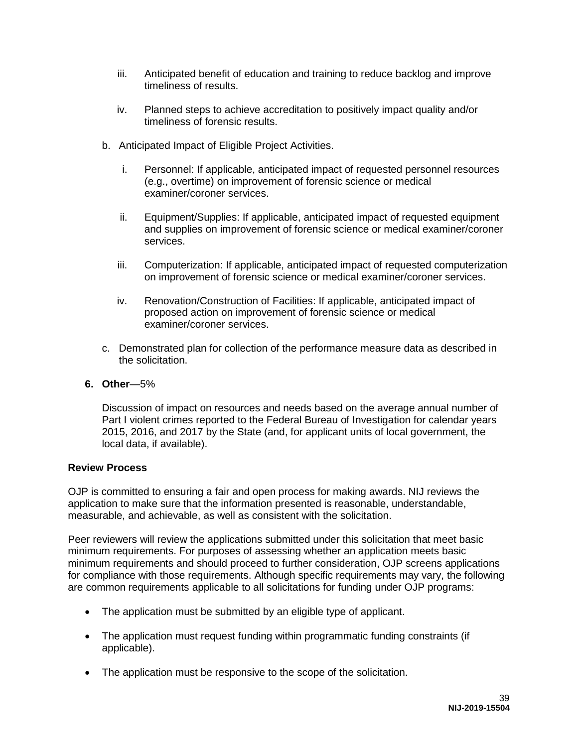- iii. Anticipated benefit of education and training to reduce backlog and improve timeliness of results.
- iv. Planned steps to achieve accreditation to positively impact quality and/or timeliness of forensic results.
- b. Anticipated Impact of Eligible Project Activities.
	- i. Personnel: If applicable, anticipated impact of requested personnel resources (e.g., overtime) on improvement of forensic science or medical examiner/coroner services.
	- ii. Equipment/Supplies: If applicable, anticipated impact of requested equipment and supplies on improvement of forensic science or medical examiner/coroner services.
	- iii. Computerization: If applicable, anticipated impact of requested computerization on improvement of forensic science or medical examiner/coroner services.
	- iv. Renovation/Construction of Facilities: If applicable, anticipated impact of proposed action on improvement of forensic science or medical examiner/coroner services.
- c. Demonstrated plan for collection of the performance measure data as described in the solicitation.
- **6. Other**—5%

Discussion of impact on resources and needs based on the average annual number of Part I violent crimes reported to the Federal Bureau of Investigation for calendar years 2015, 2016, and 2017 by the State (and, for applicant units of local government, the local data, if available).

#### <span id="page-39-0"></span>**Review Process**

OJP is committed to ensuring a fair and open process for making awards. NIJ reviews the application to make sure that the information presented is reasonable, understandable, measurable, and achievable, as well as consistent with the solicitation.

Peer reviewers will review the applications submitted under this solicitation that meet basic minimum requirements. For purposes of assessing whether an application meets basic minimum requirements and should proceed to further consideration, OJP screens applications for compliance with those requirements. Although specific requirements may vary, the following are common requirements applicable to all solicitations for funding under OJP programs:

- The application must be submitted by an eligible type of applicant.
- The application must request funding within programmatic funding constraints (if applicable).
- The application must be responsive to the scope of the solicitation.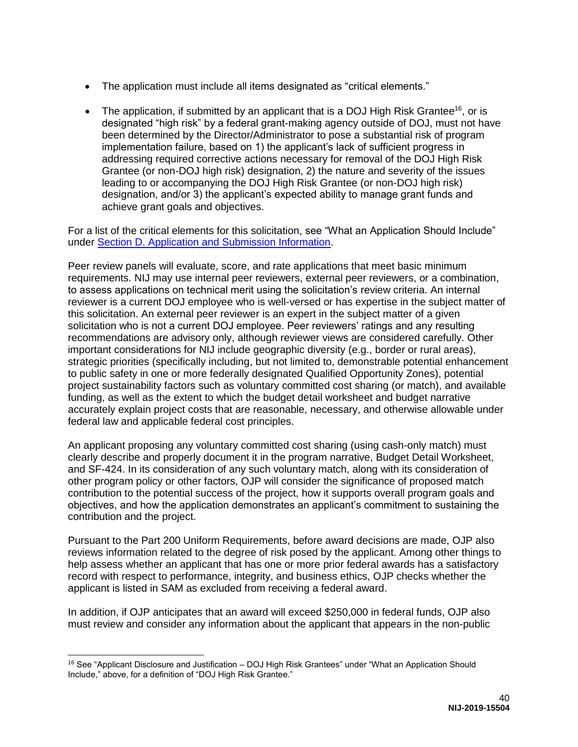- The application must include all items designated as "critical elements."
- The application, if submitted by an applicant that is a DOJ High Risk Grantee<sup>16</sup>, or is designated "high risk" by a federal grant-making agency outside of DOJ, must not have been determined by the Director/Administrator to pose a substantial risk of program implementation failure, based on 1) the applicant's lack of sufficient progress in addressing required corrective actions necessary for removal of the DOJ High Risk Grantee (or non-DOJ high risk) designation, 2) the nature and severity of the issues leading to or accompanying the DOJ High Risk Grantee (or non-DOJ high risk) designation, and/or 3) the applicant's expected ability to manage grant funds and achieve grant goals and objectives.

For a list of the critical elements for this solicitation, see "What an Application Should Include" under [Section D. Application and Submission Information.](#page-19-0)

Peer review panels will evaluate, score, and rate applications that meet basic minimum requirements. NIJ may use internal peer reviewers, external peer reviewers, or a combination, to assess applications on technical merit using the solicitation's review criteria. An internal reviewer is a current DOJ employee who is well-versed or has expertise in the subject matter of this solicitation. An external peer reviewer is an expert in the subject matter of a given solicitation who is not a current DOJ employee. Peer reviewers' ratings and any resulting recommendations are advisory only, although reviewer views are considered carefully. Other important considerations for NIJ include geographic diversity (e.g., border or rural areas), strategic priorities (specifically including, but not limited to, demonstrable potential enhancement to public safety in one or more federally designated Qualified Opportunity Zones), potential project sustainability factors such as voluntary committed cost sharing (or match), and available funding, as well as the extent to which the budget detail worksheet and budget narrative accurately explain project costs that are reasonable, necessary, and otherwise allowable under federal law and applicable federal cost principles.

An applicant proposing any voluntary committed cost sharing (using cash-only match) must clearly describe and properly document it in the program narrative, Budget Detail Worksheet, and SF-424. In its consideration of any such voluntary match, along with its consideration of other program policy or other factors, OJP will consider the significance of proposed match contribution to the potential success of the project, how it supports overall program goals and objectives, and how the application demonstrates an applicant's commitment to sustaining the contribution and the project.

Pursuant to the Part 200 Uniform Requirements, before award decisions are made, OJP also reviews information related to the degree of risk posed by the applicant. Among other things to help assess whether an applicant that has one or more prior federal awards has a satisfactory record with respect to performance, integrity, and business ethics, OJP checks whether the applicant is listed in SAM as excluded from receiving a federal award.

In addition, if OJP anticipates that an award will exceed \$250,000 in federal funds, OJP also must review and consider any information about the applicant that appears in the non-public

 $\overline{a}$ 

<sup>&</sup>lt;sup>16</sup> See "Applicant Disclosure and Justification – DOJ High Risk Grantees" under "What an Application Should Include," above, for a definition of "DOJ High Risk Grantee."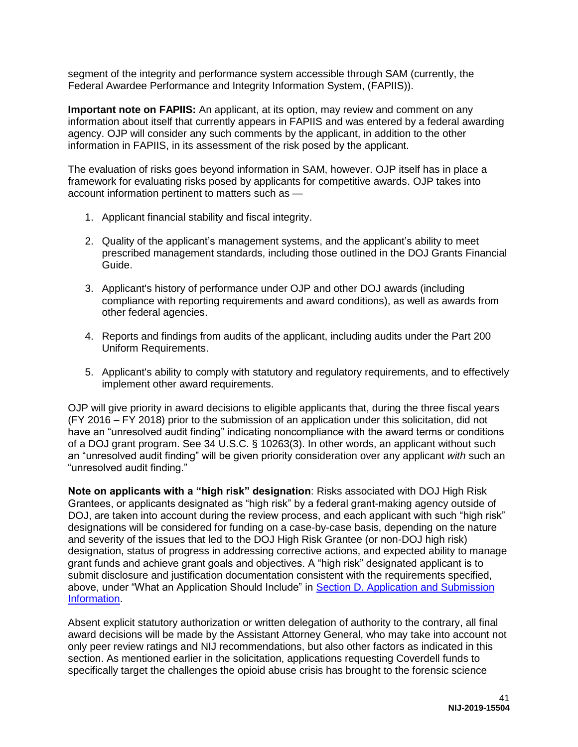segment of the integrity and performance system accessible through SAM (currently, the Federal Awardee Performance and Integrity Information System, (FAPIIS)).

**Important note on FAPIIS:** An applicant, at its option, may review and comment on any information about itself that currently appears in FAPIIS and was entered by a federal awarding agency. OJP will consider any such comments by the applicant, in addition to the other information in FAPIIS, in its assessment of the risk posed by the applicant.

The evaluation of risks goes beyond information in SAM, however. OJP itself has in place a framework for evaluating risks posed by applicants for competitive awards. OJP takes into account information pertinent to matters such as —

- 1. Applicant financial stability and fiscal integrity.
- 2. Quality of the applicant's management systems, and the applicant's ability to meet prescribed management standards, including those outlined in the DOJ Grants Financial Guide.
- 3. Applicant's history of performance under OJP and other DOJ awards (including compliance with reporting requirements and award conditions), as well as awards from other federal agencies.
- 4. Reports and findings from audits of the applicant, including audits under the Part 200 Uniform Requirements.
- 5. Applicant's ability to comply with statutory and regulatory requirements, and to effectively implement other award requirements.

OJP will give priority in award decisions to eligible applicants that, during the three fiscal years (FY 2016 – FY 2018) prior to the submission of an application under this solicitation, did not have an "unresolved audit finding" indicating noncompliance with the award terms or conditions of a DOJ grant program. See 34 U.S.C. § 10263(3). In other words, an applicant without such an "unresolved audit finding" will be given priority consideration over any applicant *with* such an "unresolved audit finding."

**Note on applicants with a "high risk" designation**: Risks associated with DOJ High Risk Grantees, or applicants designated as "high risk" by a federal grant-making agency outside of DOJ, are taken into account during the review process, and each applicant with such "high risk" designations will be considered for funding on a case-by-case basis, depending on the nature and severity of the issues that led to the DOJ High Risk Grantee (or non-DOJ high risk) designation, status of progress in addressing corrective actions, and expected ability to manage grant funds and achieve grant goals and objectives. A "high risk" designated applicant is to submit disclosure and justification documentation consistent with the requirements specified, above, under "What an Application Should Include" in [Section D. Application and Submission](#page-19-0)  [Information.](#page-19-0)

Absent explicit statutory authorization or written delegation of authority to the contrary, all final award decisions will be made by the Assistant Attorney General, who may take into account not only peer review ratings and NIJ recommendations, but also other factors as indicated in this section. As mentioned earlier in the solicitation, applications requesting Coverdell funds to specifically target the challenges the opioid abuse crisis has brought to the forensic science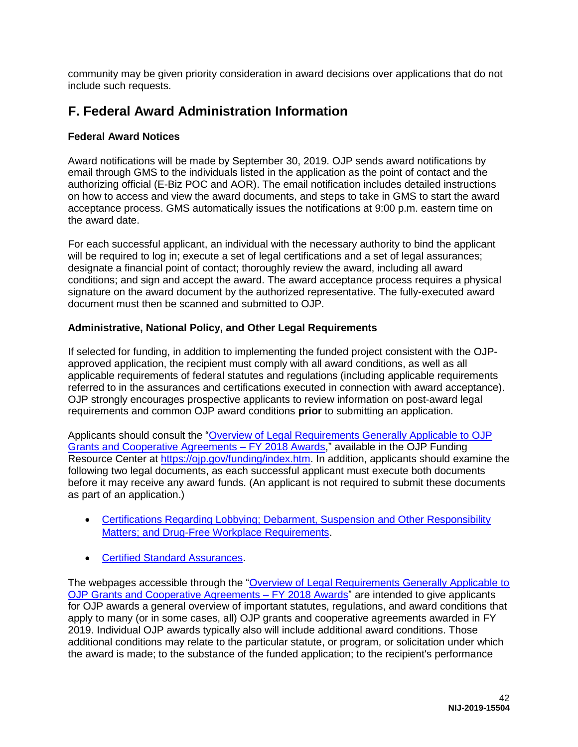community may be given priority consideration in award decisions over applications that do not include such requests.

# <span id="page-42-0"></span>**F. Federal Award Administration Information**

#### <span id="page-42-1"></span>**Federal Award Notices**

Award notifications will be made by September 30, 2019. OJP sends award notifications by email through GMS to the individuals listed in the application as the point of contact and the authorizing official (E-Biz POC and AOR). The email notification includes detailed instructions on how to access and view the award documents, and steps to take in GMS to start the award acceptance process. GMS automatically issues the notifications at 9:00 p.m. eastern time on the award date.

For each successful applicant, an individual with the necessary authority to bind the applicant will be required to log in; execute a set of legal certifications and a set of legal assurances; designate a financial point of contact; thoroughly review the award, including all award conditions; and sign and accept the award. The award acceptance process requires a physical signature on the award document by the authorized representative. The fully-executed award document must then be scanned and submitted to OJP.

#### <span id="page-42-2"></span>**Administrative, National Policy, and Other Legal Requirements**

If selected for funding, in addition to implementing the funded project consistent with the OJPapproved application, the recipient must comply with all award conditions, as well as all applicable requirements of federal statutes and regulations (including applicable requirements referred to in the assurances and certifications executed in connection with award acceptance). OJP strongly encourages prospective applicants to review information on post-award legal requirements and common OJP award conditions **prior** to submitting an application.

Applicants should consult the ["Overview of Legal Requirements Generally Applicable to OJP](https://ojp.gov/funding/Explore/LegalOverview/index.htm)  [Grants and Cooperative Agreements – FY 2018 Awards,](https://ojp.gov/funding/Explore/LegalOverview/index.htm)" available in the OJP Funding Resource Center at [https://ojp.gov/funding/index.htm.](https://ojp.gov/funding/index.htm) In addition, applicants should examine the following two legal documents, as each successful applicant must execute both documents before it may receive any award funds. (An applicant is not required to submit these documents as part of an application.)

- [Certifications Regarding Lobbying; Debarment, Suspension and Other Responsibility](https://ojp.gov/funding/Apply/Resources/Certifications.pdf)  [Matters; and Drug-Free Workplace Requirements.](https://ojp.gov/funding/Apply/Resources/Certifications.pdf)
- **[Certified Standard Assurances.](https://ojp.gov/funding/Apply/Resources/StandardAssurances.pdf)**

The webpages accessible through the "Overview of Legal Requirements Generally Applicable to [OJP Grants and Cooperative Agreements – FY 2018 Awards"](https://ojp.gov/funding/Explore/LegalOverview/index.htm) are intended to give applicants for OJP awards a general overview of important statutes, regulations, and award conditions that apply to many (or in some cases, all) OJP grants and cooperative agreements awarded in FY 2019. Individual OJP awards typically also will include additional award conditions. Those additional conditions may relate to the particular statute, or program, or solicitation under which the award is made; to the substance of the funded application; to the recipient's performance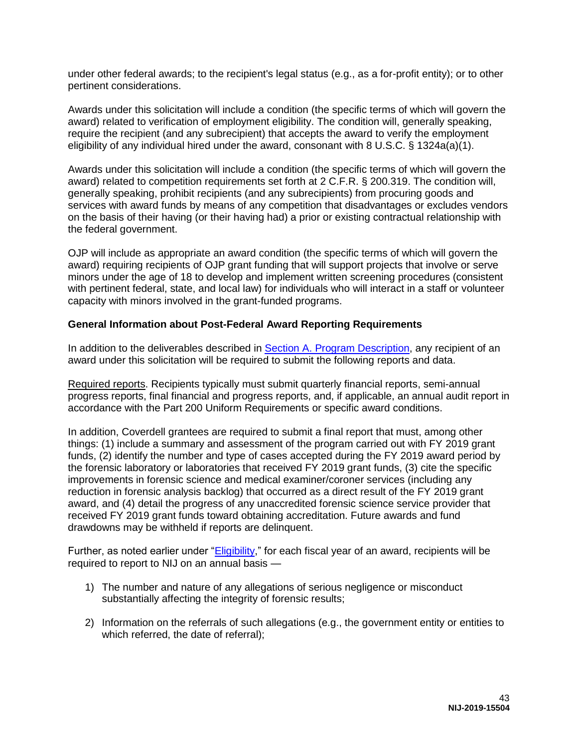under other federal awards; to the recipient's legal status (e.g., as a for-profit entity); or to other pertinent considerations.

Awards under this solicitation will include a condition (the specific terms of which will govern the award) related to verification of employment eligibility. The condition will, generally speaking, require the recipient (and any subrecipient) that accepts the award to verify the employment eligibility of any individual hired under the award, consonant with 8 U.S.C. § 1324a(a)(1).

Awards under this solicitation will include a condition (the specific terms of which will govern the award) related to competition requirements set forth at 2 C.F.R. § 200.319. The condition will, generally speaking, prohibit recipients (and any subrecipients) from procuring goods and services with award funds by means of any competition that disadvantages or excludes vendors on the basis of their having (or their having had) a prior or existing contractual relationship with the federal government.

OJP will include as appropriate an award condition (the specific terms of which will govern the award) requiring recipients of OJP grant funding that will support projects that involve or serve minors under the age of 18 to develop and implement written screening procedures (consistent with pertinent federal, state, and local law) for individuals who will interact in a staff or volunteer capacity with minors involved in the grant-funded programs.

#### <span id="page-43-0"></span>**General Information about Post-Federal Award Reporting Requirements**

In addition to the deliverables described in [Section A. Program Description,](#page-4-0) any recipient of an award under this solicitation will be required to submit the following reports and data.

Required reports. Recipients typically must submit quarterly financial reports, semi-annual progress reports, final financial and progress reports, and, if applicable, an annual audit report in accordance with the Part 200 Uniform Requirements or specific award conditions.

In addition, Coverdell grantees are required to submit a final report that must, among other things: (1) include a summary and assessment of the program carried out with FY 2019 grant funds, (2) identify the number and type of cases accepted during the FY 2019 award period by the forensic laboratory or laboratories that received FY 2019 grant funds, (3) cite the specific improvements in forensic science and medical examiner/coroner services (including any reduction in forensic analysis backlog) that occurred as a direct result of the FY 2019 grant award, and (4) detail the progress of any unaccredited forensic science service provider that received FY 2019 grant funds toward obtaining accreditation. Future awards and fund drawdowns may be withheld if reports are delinquent.

Further, as noted earlier under ["Eligibility,](#page-13-0)" for each fiscal year of an award, recipients will be required to report to NIJ on an annual basis —

- 1) The number and nature of any allegations of serious negligence or misconduct substantially affecting the integrity of forensic results;
- 2) Information on the referrals of such allegations (e.g., the government entity or entities to which referred, the date of referral);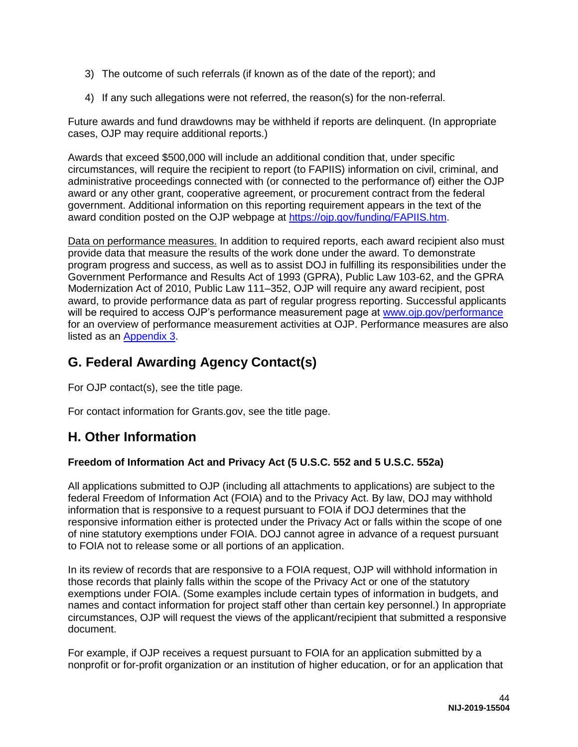- 3) The outcome of such referrals (if known as of the date of the report); and
- 4) If any such allegations were not referred, the reason(s) for the non-referral.

Future awards and fund drawdowns may be withheld if reports are delinquent. (In appropriate cases, OJP may require additional reports.)

Awards that exceed \$500,000 will include an additional condition that, under specific circumstances, will require the recipient to report (to FAPIIS) information on civil, criminal, and administrative proceedings connected with (or connected to the performance of) either the OJP award or any other grant, cooperative agreement, or procurement contract from the federal government. Additional information on this reporting requirement appears in the text of the award condition posted on the OJP webpage at [https://ojp.gov/funding/FAPIIS.htm.](https://ojp.gov/funding/FAPIIS.htm)

Data on performance measures. In addition to required reports, each award recipient also must provide data that measure the results of the work done under the award. To demonstrate program progress and success, as well as to assist DOJ in fulfilling its responsibilities under the Government Performance and Results Act of 1993 (GPRA), Public Law 103-62, and the GPRA Modernization Act of 2010, Public Law 111–352, OJP will require any award recipient, post award, to provide performance data as part of regular progress reporting. Successful applicants will be required to access OJP's performance measurement page at [www.ojp.gov/performance](file:///C:/Users/scottf/AppData/Local/Microsoft/Windows/Temporary%20Internet%20Files/Content.Outlook/YYCKH3BB/www.ojp.gov/performance) for an overview of performance measurement activities at OJP. Performance measures are also listed as an [Appendix 3.](#page-56-0)

# <span id="page-44-0"></span>**G. Federal Awarding Agency Contact(s)**

For OJP contact(s), see the title page.

For contact information for Grants.gov, see the title page.

# <span id="page-44-1"></span>**H. Other Information**

### <span id="page-44-2"></span>**Freedom of Information Act and Privacy Act (5 U.S.C. 552 and 5 U.S.C. 552a)**

All applications submitted to OJP (including all attachments to applications) are subject to the federal Freedom of Information Act (FOIA) and to the Privacy Act. By law, DOJ may withhold information that is responsive to a request pursuant to FOIA if DOJ determines that the responsive information either is protected under the Privacy Act or falls within the scope of one of nine statutory exemptions under FOIA. DOJ cannot agree in advance of a request pursuant to FOIA not to release some or all portions of an application.

In its review of records that are responsive to a FOIA request, OJP will withhold information in those records that plainly falls within the scope of the Privacy Act or one of the statutory exemptions under FOIA. (Some examples include certain types of information in budgets, and names and contact information for project staff other than certain key personnel.) In appropriate circumstances, OJP will request the views of the applicant/recipient that submitted a responsive document.

For example, if OJP receives a request pursuant to FOIA for an application submitted by a nonprofit or for-profit organization or an institution of higher education, or for an application that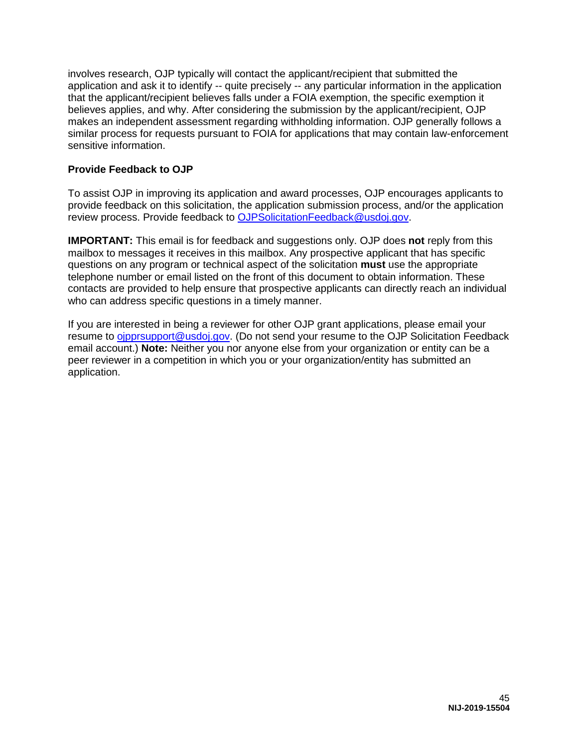involves research, OJP typically will contact the applicant/recipient that submitted the application and ask it to identify -- quite precisely -- any particular information in the application that the applicant/recipient believes falls under a FOIA exemption, the specific exemption it believes applies, and why. After considering the submission by the applicant/recipient, OJP makes an independent assessment regarding withholding information. OJP generally follows a similar process for requests pursuant to FOIA for applications that may contain law-enforcement sensitive information.

#### <span id="page-45-0"></span>**Provide Feedback to OJP**

To assist OJP in improving its application and award processes, OJP encourages applicants to provide feedback on this solicitation, the application submission process, and/or the application review process. Provide feedback to [OJPSolicitationFeedback@usdoj.gov.](mailto:OJPSolicitationFeedback@usdoj.gov)

**IMPORTANT:** This email is for feedback and suggestions only. OJP does **not** reply from this mailbox to messages it receives in this mailbox. Any prospective applicant that has specific questions on any program or technical aspect of the solicitation **must** use the appropriate telephone number or email listed on the front of this document to obtain information. These contacts are provided to help ensure that prospective applicants can directly reach an individual who can address specific questions in a timely manner.

If you are interested in being a reviewer for other OJP grant applications, please email your resume to [ojpprsupport@usdoj.gov.](mailto:ojpprsupport@usdoj.gov) (Do not send your resume to the OJP Solicitation Feedback email account.) **Note:** Neither you nor anyone else from your organization or entity can be a peer reviewer in a competition in which you or your organization/entity has submitted an application.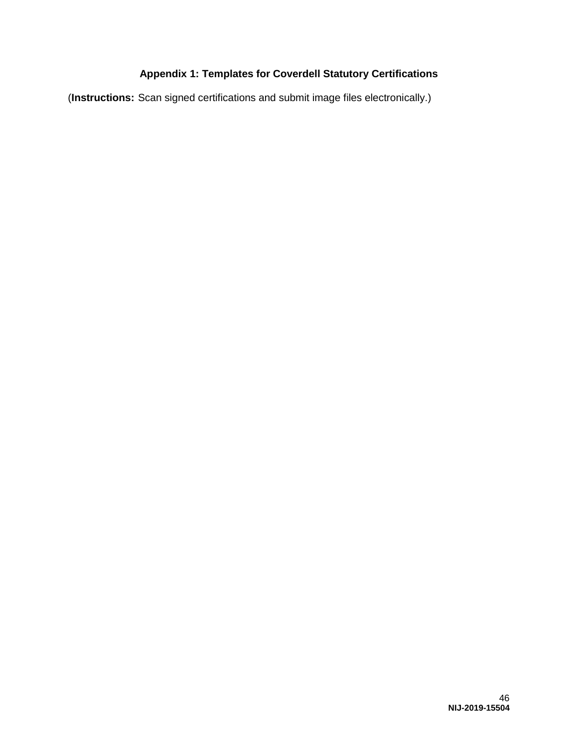### **Appendix 1: Templates for Coverdell Statutory Certifications**

<span id="page-46-0"></span>(**Instructions:** Scan signed certifications and submit image files electronically.)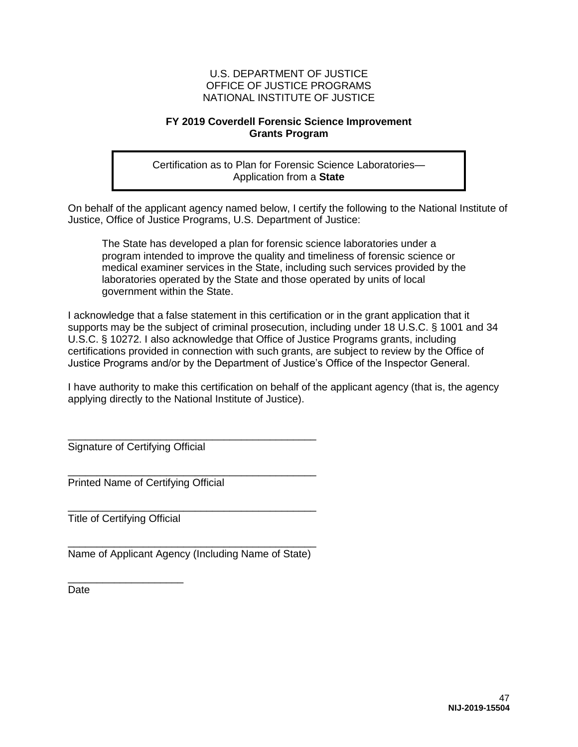#### **FY 2019 Coverdell Forensic Science Improvement Grants Program**

Certification as to Plan for Forensic Science Laboratories— Application from a **State** 

On behalf of the applicant agency named below, I certify the following to the National Institute of Justice, Office of Justice Programs, U.S. Department of Justice:

The State has developed a plan for forensic science laboratories under a program intended to improve the quality and timeliness of forensic science or medical examiner services in the State, including such services provided by the laboratories operated by the State and those operated by units of local government within the State.

I acknowledge that a false statement in this certification or in the grant application that it supports may be the subject of criminal prosecution, including under 18 U.S.C. § 1001 and 34 U.S.C. § 10272. I also acknowledge that Office of Justice Programs grants, including certifications provided in connection with such grants, are subject to review by the Office of Justice Programs and/or by the Department of Justice's Office of the Inspector General.

I have authority to make this certification on behalf of the applicant agency (that is, the agency applying directly to the National Institute of Justice).

\_\_\_\_\_\_\_\_\_\_\_\_\_\_\_\_\_\_\_\_\_\_\_\_\_\_\_\_\_\_\_\_\_\_\_\_\_\_\_\_\_\_\_ Signature of Certifying Official

\_\_\_\_\_\_\_\_\_\_\_\_\_\_\_\_\_\_\_\_\_\_\_\_\_\_\_\_\_\_\_\_\_\_\_\_\_\_\_\_\_\_\_ Printed Name of Certifying Official

\_\_\_\_\_\_\_\_\_\_\_\_\_\_\_\_\_\_\_\_\_\_\_\_\_\_\_\_\_\_\_\_\_\_\_\_\_\_\_\_\_\_\_ Title of Certifying Official

\_\_\_\_\_\_\_\_\_\_\_\_\_\_\_\_\_\_\_\_

\_\_\_\_\_\_\_\_\_\_\_\_\_\_\_\_\_\_\_\_\_\_\_\_\_\_\_\_\_\_\_\_\_\_\_\_\_\_\_\_\_\_\_ Name of Applicant Agency (Including Name of State)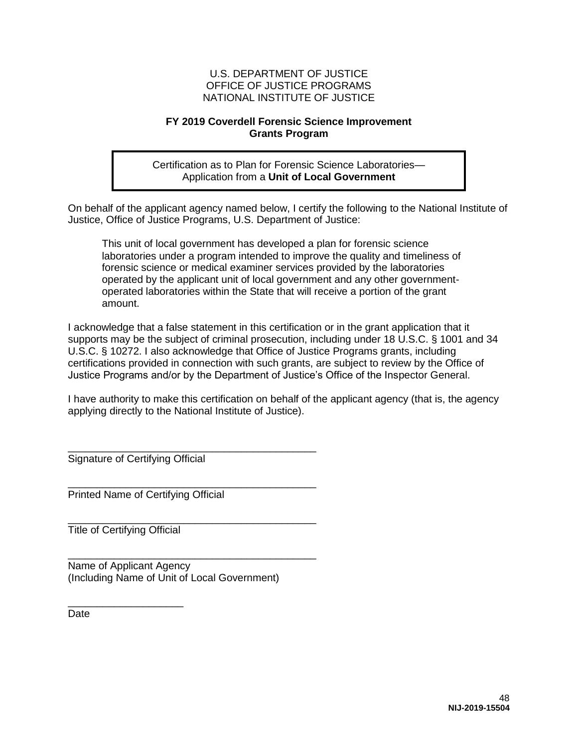#### **FY 2019 Coverdell Forensic Science Improvement Grants Program**

Certification as to Plan for Forensic Science Laboratories— Application from a **Unit of Local Government** 

On behalf of the applicant agency named below, I certify the following to the National Institute of Justice, Office of Justice Programs, U.S. Department of Justice:

This unit of local government has developed a plan for forensic science laboratories under a program intended to improve the quality and timeliness of forensic science or medical examiner services provided by the laboratories operated by the applicant unit of local government and any other governmentoperated laboratories within the State that will receive a portion of the grant amount.

I acknowledge that a false statement in this certification or in the grant application that it supports may be the subject of criminal prosecution, including under 18 U.S.C. § 1001 and 34 U.S.C. § 10272. I also acknowledge that Office of Justice Programs grants, including certifications provided in connection with such grants, are subject to review by the Office of Justice Programs and/or by the Department of Justice's Office of the Inspector General.

I have authority to make this certification on behalf of the applicant agency (that is, the agency applying directly to the National Institute of Justice).

\_\_\_\_\_\_\_\_\_\_\_\_\_\_\_\_\_\_\_\_\_\_\_\_\_\_\_\_\_\_\_\_\_\_\_\_\_\_\_\_\_\_\_ Signature of Certifying Official

\_\_\_\_\_\_\_\_\_\_\_\_\_\_\_\_\_\_\_\_\_\_\_\_\_\_\_\_\_\_\_\_\_\_\_\_\_\_\_\_\_\_\_ Printed Name of Certifying Official

Title of Certifying Official

\_\_\_\_\_\_\_\_\_\_\_\_\_\_\_\_\_\_\_\_

Name of Applicant Agency (Including Name of Unit of Local Government)

\_\_\_\_\_\_\_\_\_\_\_\_\_\_\_\_\_\_\_\_\_\_\_\_\_\_\_\_\_\_\_\_\_\_\_\_\_\_\_\_\_\_\_

\_\_\_\_\_\_\_\_\_\_\_\_\_\_\_\_\_\_\_\_\_\_\_\_\_\_\_\_\_\_\_\_\_\_\_\_\_\_\_\_\_\_\_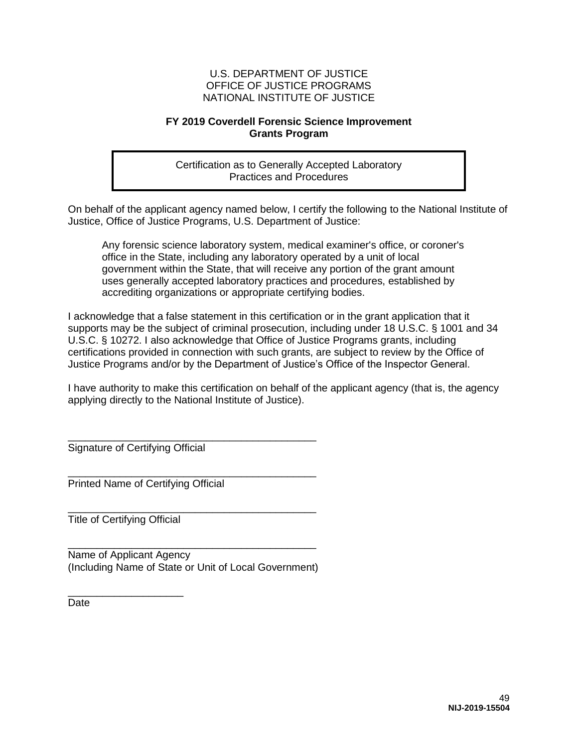#### **FY 2019 Coverdell Forensic Science Improvement Grants Program**

Certification as to Generally Accepted Laboratory Practices and Procedures

On behalf of the applicant agency named below, I certify the following to the National Institute of Justice, Office of Justice Programs, U.S. Department of Justice:

Any forensic science laboratory system, medical examiner's office, or coroner's office in the State, including any laboratory operated by a unit of local government within the State, that will receive any portion of the grant amount uses generally accepted laboratory practices and procedures, established by accrediting organizations or appropriate certifying bodies.

I acknowledge that a false statement in this certification or in the grant application that it supports may be the subject of criminal prosecution, including under 18 U.S.C. § 1001 and 34 U.S.C. § 10272. I also acknowledge that Office of Justice Programs grants, including certifications provided in connection with such grants, are subject to review by the Office of Justice Programs and/or by the Department of Justice's Office of the Inspector General.

I have authority to make this certification on behalf of the applicant agency (that is, the agency applying directly to the National Institute of Justice).

\_\_\_\_\_\_\_\_\_\_\_\_\_\_\_\_\_\_\_\_\_\_\_\_\_\_\_\_\_\_\_\_\_\_\_\_\_\_\_\_\_\_\_ Signature of Certifying Official

\_\_\_\_\_\_\_\_\_\_\_\_\_\_\_\_\_\_\_\_\_\_\_\_\_\_\_\_\_\_\_\_\_\_\_\_\_\_\_\_\_\_\_ Printed Name of Certifying Official

\_\_\_\_\_\_\_\_\_\_\_\_\_\_\_\_\_\_\_\_\_\_\_\_\_\_\_\_\_\_\_\_\_\_\_\_\_\_\_\_\_\_\_ Title of Certifying Official

\_\_\_\_\_\_\_\_\_\_\_\_\_\_\_\_\_\_\_\_

\_\_\_\_\_\_\_\_\_\_\_\_\_\_\_\_\_\_\_\_\_\_\_\_\_\_\_\_\_\_\_\_\_\_\_\_\_\_\_\_\_\_\_ Name of Applicant Agency (Including Name of State or Unit of Local Government)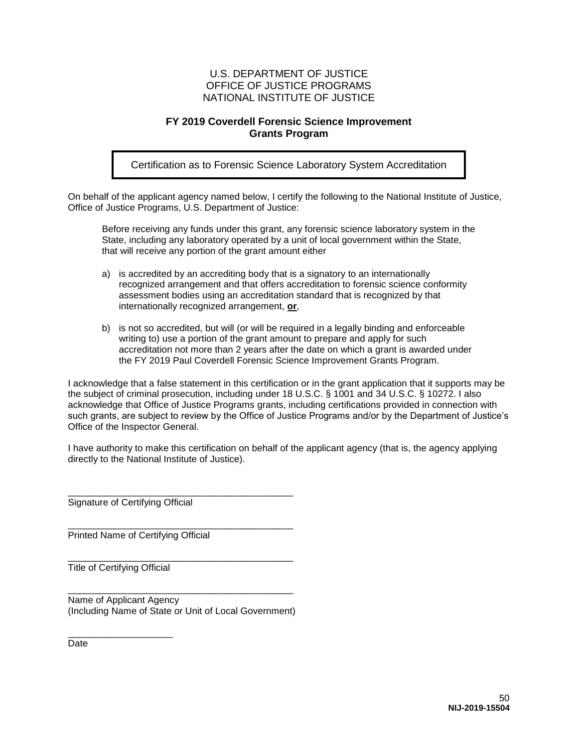#### **FY 2019 Coverdell Forensic Science Improvement Grants Program**

Certification as to Forensic Science Laboratory System Accreditation

On behalf of the applicant agency named below, I certify the following to the National Institute of Justice, Office of Justice Programs, U.S. Department of Justice:

Before receiving any funds under this grant, any forensic science laboratory system in the State, including any laboratory operated by a unit of local government within the State, that will receive any portion of the grant amount either

- a) is accredited by an accrediting body that is a signatory to an internationally recognized arrangement and that offers accreditation to forensic science conformity assessment bodies using an accreditation standard that is recognized by that internationally recognized arrangement, **or**,
- b) is not so accredited, but will (or will be required in a legally binding and enforceable writing to) use a portion of the grant amount to prepare and apply for such accreditation not more than 2 years after the date on which a grant is awarded under the FY 2019 Paul Coverdell Forensic Science Improvement Grants Program.

I acknowledge that a false statement in this certification or in the grant application that it supports may be the subject of criminal prosecution, including under 18 U.S.C. § 1001 and 34 U.S.C. § 10272. I also acknowledge that Office of Justice Programs grants, including certifications provided in connection with such grants, are subject to review by the Office of Justice Programs and/or by the Department of Justice's Office of the Inspector General.

I have authority to make this certification on behalf of the applicant agency (that is, the agency applying directly to the National Institute of Justice).

\_\_\_\_\_\_\_\_\_\_\_\_\_\_\_\_\_\_\_\_\_\_\_\_\_\_\_\_\_\_\_\_\_\_\_\_\_\_\_\_\_\_\_ Signature of Certifying Official

\_\_\_\_\_\_\_\_\_\_\_\_\_\_\_\_\_\_\_\_\_\_\_\_\_\_\_\_\_\_\_\_\_\_\_\_\_\_\_\_\_\_\_ Printed Name of Certifying Official

Title of Certifying Official

\_\_\_\_\_\_\_\_\_\_\_\_\_\_\_\_\_\_\_\_

\_\_\_\_\_\_\_\_\_\_\_\_\_\_\_\_\_\_\_\_\_\_\_\_\_\_\_\_\_\_\_\_\_\_\_\_\_\_\_\_\_\_\_ Name of Applicant Agency (Including Name of State or Unit of Local Government)

\_\_\_\_\_\_\_\_\_\_\_\_\_\_\_\_\_\_\_\_\_\_\_\_\_\_\_\_\_\_\_\_\_\_\_\_\_\_\_\_\_\_\_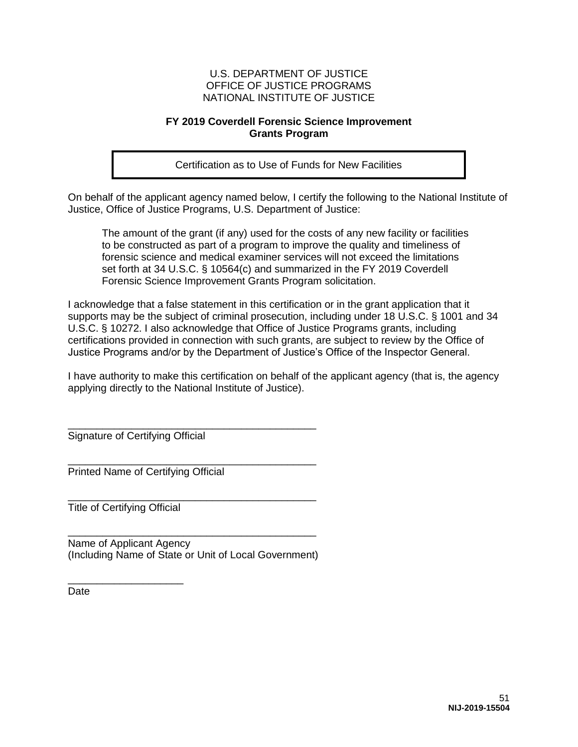#### **FY 2019 Coverdell Forensic Science Improvement Grants Program**

Certification as to Use of Funds for New Facilities

On behalf of the applicant agency named below, I certify the following to the National Institute of Justice, Office of Justice Programs, U.S. Department of Justice:

The amount of the grant (if any) used for the costs of any new facility or facilities to be constructed as part of a program to improve the quality and timeliness of forensic science and medical examiner services will not exceed the limitations set forth at 34 U.S.C. § 10564(c) and summarized in the FY 2019 Coverdell Forensic Science Improvement Grants Program solicitation.

I acknowledge that a false statement in this certification or in the grant application that it supports may be the subject of criminal prosecution, including under 18 U.S.C. § 1001 and 34 U.S.C. § 10272. I also acknowledge that Office of Justice Programs grants, including certifications provided in connection with such grants, are subject to review by the Office of Justice Programs and/or by the Department of Justice's Office of the Inspector General.

I have authority to make this certification on behalf of the applicant agency (that is, the agency applying directly to the National Institute of Justice).

\_\_\_\_\_\_\_\_\_\_\_\_\_\_\_\_\_\_\_\_\_\_\_\_\_\_\_\_\_\_\_\_\_\_\_\_\_\_\_\_\_\_\_ Signature of Certifying Official

Printed Name of Certifying Official

\_\_\_\_\_\_\_\_\_\_\_\_\_\_\_\_\_\_\_\_\_\_\_\_\_\_\_\_\_\_\_\_\_\_\_\_\_\_\_\_\_\_\_ Title of Certifying Official

\_\_\_\_\_\_\_\_\_\_\_\_\_\_\_\_\_\_\_\_

\_\_\_\_\_\_\_\_\_\_\_\_\_\_\_\_\_\_\_\_\_\_\_\_\_\_\_\_\_\_\_\_\_\_\_\_\_\_\_\_\_\_\_ Name of Applicant Agency (Including Name of State or Unit of Local Government)

\_\_\_\_\_\_\_\_\_\_\_\_\_\_\_\_\_\_\_\_\_\_\_\_\_\_\_\_\_\_\_\_\_\_\_\_\_\_\_\_\_\_\_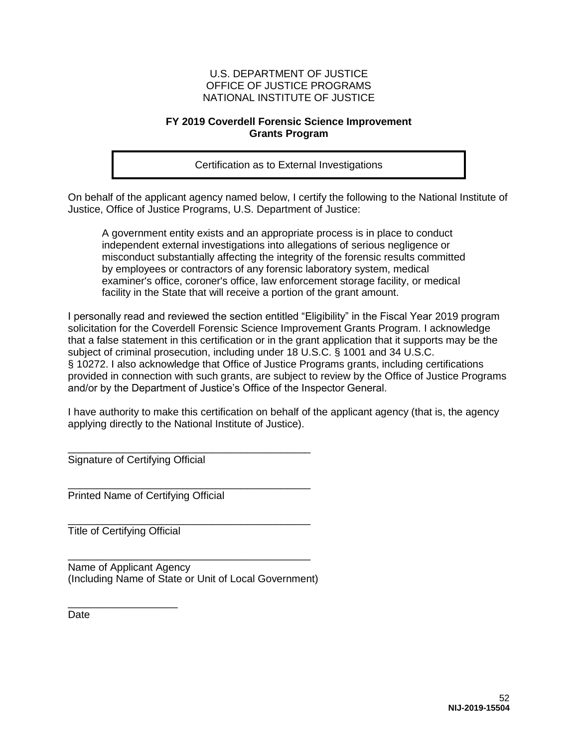#### **FY 2019 Coverdell Forensic Science Improvement Grants Program**

Certification as to External Investigations

On behalf of the applicant agency named below, I certify the following to the National Institute of Justice, Office of Justice Programs, U.S. Department of Justice:

A government entity exists and an appropriate process is in place to conduct independent external investigations into allegations of serious negligence or misconduct substantially affecting the integrity of the forensic results committed by employees or contractors of any forensic laboratory system, medical examiner's office, coroner's office, law enforcement storage facility, or medical facility in the State that will receive a portion of the grant amount.

I personally read and reviewed the section entitled "Eligibility" in the Fiscal Year 2019 program solicitation for the Coverdell Forensic Science Improvement Grants Program. I acknowledge that a false statement in this certification or in the grant application that it supports may be the subject of criminal prosecution, including under 18 U.S.C. § 1001 and 34 U.S.C. § 10272. I also acknowledge that Office of Justice Programs grants, including certifications provided in connection with such grants, are subject to review by the Office of Justice Programs and/or by the Department of Justice's Office of the Inspector General.

I have authority to make this certification on behalf of the applicant agency (that is, the agency applying directly to the National Institute of Justice).

\_\_\_\_\_\_\_\_\_\_\_\_\_\_\_\_\_\_\_\_\_\_\_\_\_\_\_\_\_\_\_\_\_\_\_\_\_\_\_\_\_\_ Signature of Certifying Official

Printed Name of Certifying Official

\_\_\_\_\_\_\_\_\_\_\_\_\_\_\_\_\_\_\_\_\_\_\_\_\_\_\_\_\_\_\_\_\_\_\_\_\_\_\_\_\_\_ Title of Certifying Official

\_\_\_\_\_\_\_\_\_\_\_\_\_\_\_\_\_\_\_

Name of Applicant Agency (Including Name of State or Unit of Local Government)

\_\_\_\_\_\_\_\_\_\_\_\_\_\_\_\_\_\_\_\_\_\_\_\_\_\_\_\_\_\_\_\_\_\_\_\_\_\_\_\_\_\_

\_\_\_\_\_\_\_\_\_\_\_\_\_\_\_\_\_\_\_\_\_\_\_\_\_\_\_\_\_\_\_\_\_\_\_\_\_\_\_\_\_\_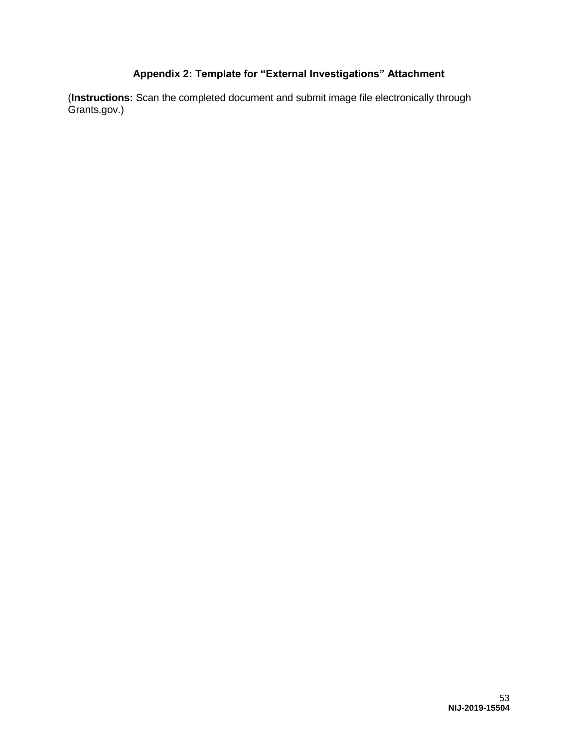### **Appendix 2: Template for "External Investigations" Attachment**

<span id="page-53-0"></span>(**Instructions:** Scan the completed document and submit image file electronically through Grants.gov.)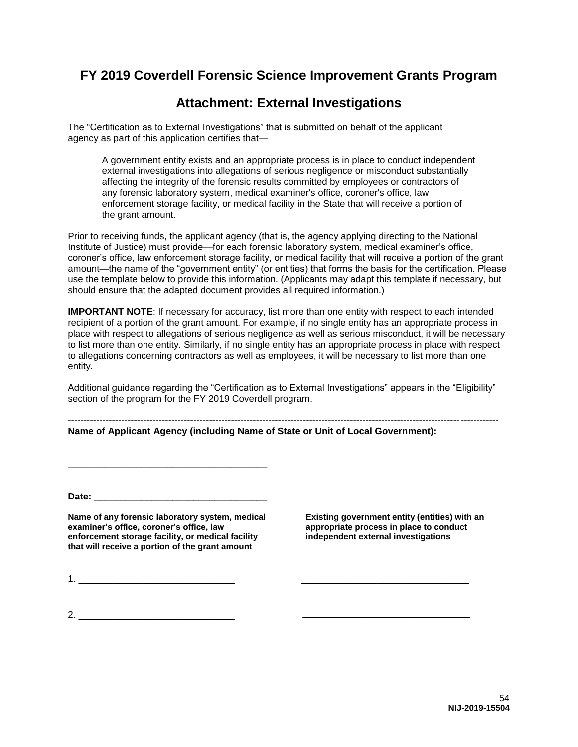### **FY 2019 Coverdell Forensic Science Improvement Grants Program**

### **Attachment: External Investigations**

The "Certification as to External Investigations" that is submitted on behalf of the applicant agency as part of this application certifies that—

A government entity exists and an appropriate process is in place to conduct independent external investigations into allegations of serious negligence or misconduct substantially affecting the integrity of the forensic results committed by employees or contractors of any forensic laboratory system, medical examiner's office, coroner's office, law enforcement storage facility, or medical facility in the State that will receive a portion of the grant amount.

Prior to receiving funds, the applicant agency (that is, the agency applying directing to the National Institute of Justice) must provide—for each forensic laboratory system, medical examiner's office, coroner's office, law enforcement storage facility, or medical facility that will receive a portion of the grant amount—the name of the "government entity" (or entities) that forms the basis for the certification. Please use the template below to provide this information. (Applicants may adapt this template if necessary, but should ensure that the adapted document provides all required information.)

**IMPORTANT NOTE**: If necessary for accuracy, list more than one entity with respect to each intended recipient of a portion of the grant amount. For example, if no single entity has an appropriate process in place with respect to allegations of serious negligence as well as serious misconduct, it will be necessary to list more than one entity. Similarly, if no single entity has an appropriate process in place with respect to allegations concerning contractors as well as employees, it will be necessary to list more than one entity.

Additional guidance regarding the "Certification as to External Investigations" appears in the "Eligibility" section of the program for the FY 2019 Coverdell program.

----------------------------------------------------------------------------------------------------------------------------- ------------ **Name of Applicant Agency (including Name of State or Unit of Local Government):** 

**Date:** \_\_\_\_\_\_\_\_\_\_\_\_\_\_\_\_\_\_\_\_\_\_\_\_\_\_\_\_\_\_\_\_\_

**Name of any forensic laboratory system, medical examiner's office, coroner's office, law enforcement storage facility, or medical facility that will receive a portion of the grant amount** 

**\_\_\_\_\_\_\_\_\_\_\_\_\_\_\_\_\_\_\_\_\_\_\_\_\_\_\_\_\_\_\_\_\_\_\_\_\_\_**

**Existing government entity (entities) with an appropriate process in place to conduct independent external investigations** 

\_\_\_\_\_\_\_\_\_\_\_\_\_\_\_\_\_\_\_\_\_\_\_\_\_\_\_\_\_

\_\_\_\_\_\_\_\_\_\_\_\_\_\_\_\_\_\_\_\_\_\_\_\_\_\_\_\_\_

1. \_\_\_\_\_\_\_\_\_\_\_\_\_\_\_\_\_\_\_\_\_\_\_\_\_\_\_

 $2.$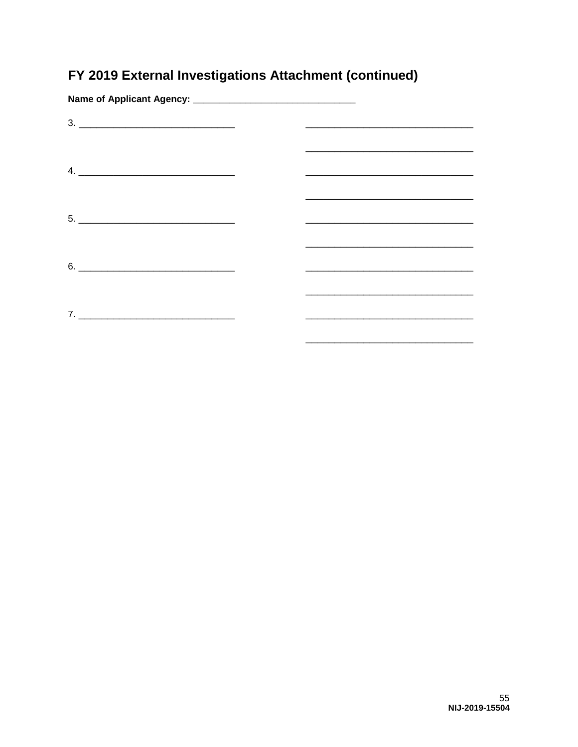# FY 2019 External Investigations Attachment (continued)

| $\begin{array}{c} \n3. \begin{tabular}{cc} \textbf{---} & \textbf{---} & \textbf{---} \\ \hline \end{tabular} \end{array}$ | <u> 1989 - Johann John Stone, market fan it ferstjer fan de fan it ferstjer fan it ferstjer fan it ferstjer fan i</u> |
|----------------------------------------------------------------------------------------------------------------------------|-----------------------------------------------------------------------------------------------------------------------|
|                                                                                                                            |                                                                                                                       |
|                                                                                                                            |                                                                                                                       |
|                                                                                                                            |                                                                                                                       |
|                                                                                                                            | <u> 1989 - Johann John Stone, Amerikaansk politiker (* 1958)</u>                                                      |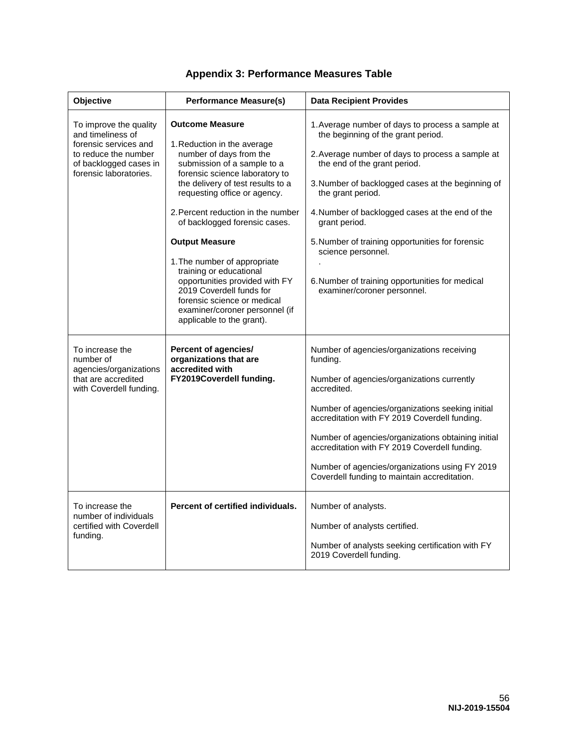<span id="page-56-0"></span>

| Objective                                                                                                                                        | <b>Performance Measure(s)</b>                                                                                                                                                                                                                                                                                                                                                                                                                                                                                                                 | <b>Data Recipient Provides</b>                                                                                                                                                                                                                                                                                                                                                                                                                                                       |
|--------------------------------------------------------------------------------------------------------------------------------------------------|-----------------------------------------------------------------------------------------------------------------------------------------------------------------------------------------------------------------------------------------------------------------------------------------------------------------------------------------------------------------------------------------------------------------------------------------------------------------------------------------------------------------------------------------------|--------------------------------------------------------------------------------------------------------------------------------------------------------------------------------------------------------------------------------------------------------------------------------------------------------------------------------------------------------------------------------------------------------------------------------------------------------------------------------------|
| To improve the quality<br>and timeliness of<br>forensic services and<br>to reduce the number<br>of backlogged cases in<br>forensic laboratories. | <b>Outcome Measure</b><br>1. Reduction in the average<br>number of days from the<br>submission of a sample to a<br>forensic science laboratory to<br>the delivery of test results to a<br>requesting office or agency.<br>2. Percent reduction in the number<br>of backlogged forensic cases.<br><b>Output Measure</b><br>1. The number of appropriate<br>training or educational<br>opportunities provided with FY<br>2019 Coverdell funds for<br>forensic science or medical<br>examiner/coroner personnel (if<br>applicable to the grant). | 1. Average number of days to process a sample at<br>the beginning of the grant period.<br>2. Average number of days to process a sample at<br>the end of the grant period.<br>3. Number of backlogged cases at the beginning of<br>the grant period.<br>4. Number of backlogged cases at the end of the<br>grant period.<br>5. Number of training opportunities for forensic<br>science personnel.<br>6. Number of training opportunities for medical<br>examiner/coroner personnel. |
| To increase the<br>number of<br>agencies/organizations<br>that are accredited<br>with Coverdell funding.                                         | <b>Percent of agencies/</b><br>organizations that are<br>accredited with<br>FY2019Coverdell funding.                                                                                                                                                                                                                                                                                                                                                                                                                                          | Number of agencies/organizations receiving<br>funding.<br>Number of agencies/organizations currently<br>accredited.<br>Number of agencies/organizations seeking initial<br>accreditation with FY 2019 Coverdell funding.<br>Number of agencies/organizations obtaining initial<br>accreditation with FY 2019 Coverdell funding.<br>Number of agencies/organizations using FY 2019<br>Coverdell funding to maintain accreditation.                                                    |
| To increase the<br>number of individuals<br>certified with Coverdell<br>funding.                                                                 | Percent of certified individuals.                                                                                                                                                                                                                                                                                                                                                                                                                                                                                                             | Number of analysts.<br>Number of analysts certified.<br>Number of analysts seeking certification with FY<br>2019 Coverdell funding.                                                                                                                                                                                                                                                                                                                                                  |

### **Appendix 3: Performance Measures Table**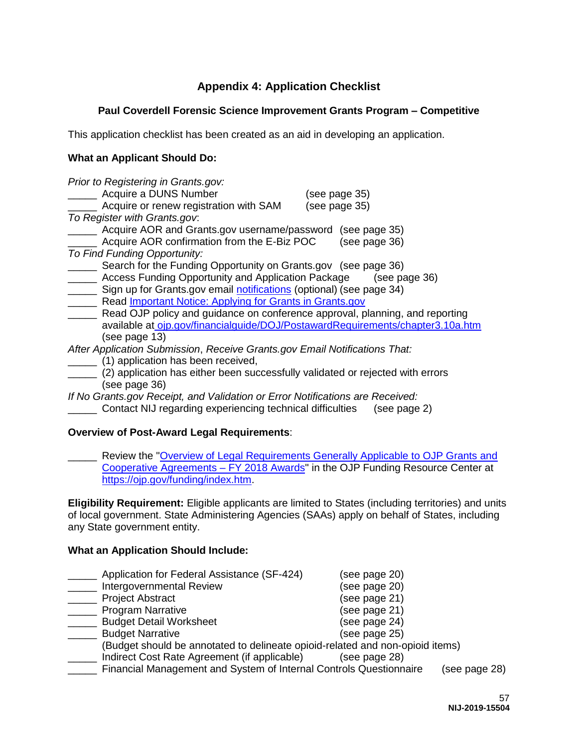### **Appendix 4: Application Checklist**

### <span id="page-57-0"></span>**Paul Coverdell Forensic Science Improvement Grants Program – Competitive**

This application checklist has been created as an aid in developing an application.

#### **What an Applicant Should Do:**

| Prior to Registering in Grants.gov:<br>Acquire a DUNS Number<br>(see page 35)<br>Acquire or renew registration with SAM<br>(see page 35) |  |
|------------------------------------------------------------------------------------------------------------------------------------------|--|
| To Register with Grants.gov.                                                                                                             |  |
| Acquire AOR and Grants.gov username/password<br>(see page 35)                                                                            |  |
| Acquire AOR confirmation from the E-Biz POC<br>(see page 36)                                                                             |  |
| To Find Funding Opportunity:                                                                                                             |  |
| Search for the Funding Opportunity on Grants.gov (see page 36)                                                                           |  |
| Access Funding Opportunity and Application Package<br>(see page 36)                                                                      |  |
| Sign up for Grants.gov email notifications (optional) (see page 34)                                                                      |  |
| Read Important Notice: Applying for Grants in Grants.gov                                                                                 |  |
| Read OJP policy and guidance on conference approval, planning, and reporting                                                             |  |
| available at ojp.gov/financialguide/DOJ/PostawardRequirements/chapter3.10a.htm                                                           |  |
| (see page 13)                                                                                                                            |  |
| After Application Submission, Receive Grants.gov Email Notifications That:                                                               |  |
| (1) application has been received,                                                                                                       |  |
| (2) application has either been successfully validated or rejected with errors                                                           |  |
| (see page 36)                                                                                                                            |  |
| If No Grants.gov Receipt, and Validation or Error Notifications are Received:                                                            |  |

\_\_\_\_\_ Contact NIJ regarding experiencing technical difficulties (see page 2)

#### **Overview of Post-Award Legal Requirements**:

Review the "Overview of Legal Requirements Generally Applicable to OJP Grants and [Cooperative Agreements – FY 2018 Awards"](https://ojp.gov/funding/Explore/LegalOverview/index.htm) in the OJP Funding Resource Center at [https://ojp.gov/funding/index.htm.](https://ojp.gov/funding/index.htm)

**Eligibility Requirement:** Eligible applicants are limited to States (including territories) and units of local government. State Administering Agencies (SAAs) apply on behalf of States, including any State government entity.

#### **What an Application Should Include:**

|                          | Application for Federal Assistance (SF-424)                                   | (see page 20) |               |
|--------------------------|-------------------------------------------------------------------------------|---------------|---------------|
|                          | Intergovernmental Review                                                      | (see page 20) |               |
| <b>Project Abstract</b>  |                                                                               | (see page 21) |               |
| <b>Program Narrative</b> |                                                                               | (see page 21) |               |
|                          | <b>Budget Detail Worksheet</b>                                                | (see page 24) |               |
| <b>Budget Narrative</b>  |                                                                               | (see page 25) |               |
|                          | (Budget should be annotated to delineate opioid-related and non-opioid items) |               |               |
|                          | Indirect Cost Rate Agreement (if applicable)                                  | (see page 28) |               |
|                          | Financial Management and System of Internal Controls Questionnaire            |               | (see page 28) |
|                          |                                                                               |               |               |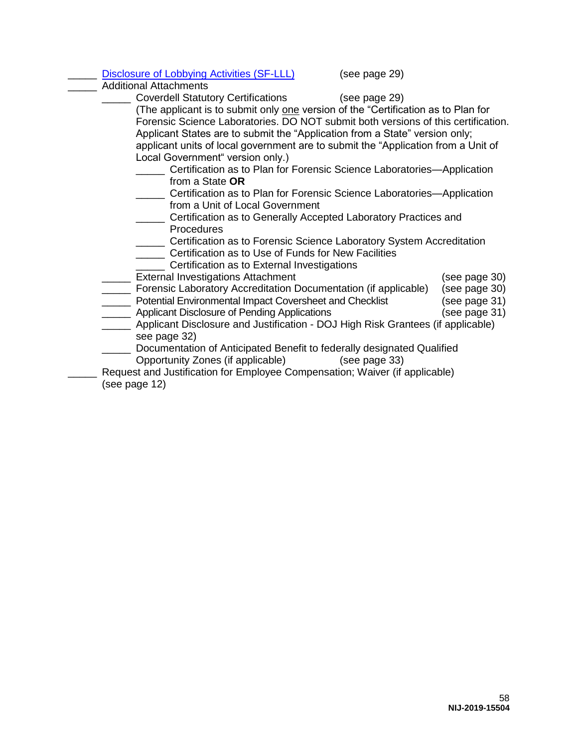| <b>Disclosure of Lobbying Activities (SF-LLL)</b>                                                                                                                                                                                                                                                                                                                                                                                                                                                                                                                                                                                                   | (see page 29) |                                                                  |
|-----------------------------------------------------------------------------------------------------------------------------------------------------------------------------------------------------------------------------------------------------------------------------------------------------------------------------------------------------------------------------------------------------------------------------------------------------------------------------------------------------------------------------------------------------------------------------------------------------------------------------------------------------|---------------|------------------------------------------------------------------|
| <b>Additional Attachments</b>                                                                                                                                                                                                                                                                                                                                                                                                                                                                                                                                                                                                                       |               |                                                                  |
| Coverdell Statutory Certifications (see page 29)<br>(The applicant is to submit only one version of the "Certification as to Plan for<br>Forensic Science Laboratories. DO NOT submit both versions of this certification.<br>Applicant States are to submit the "Application from a State" version only;<br>applicant units of local government are to submit the "Application from a Unit of<br>Local Government" version only.)<br>Certification as to Plan for Forensic Science Laboratories—Application<br>from a State <b>OR</b><br>Certification as to Plan for Forensic Science Laboratories-Application<br>from a Unit of Local Government |               |                                                                  |
| Certification as to Generally Accepted Laboratory Practices and<br>Procedures<br>Certification as to Forensic Science Laboratory System Accreditation<br>Certification as to Use of Funds for New Facilities<br>Certification as to External Investigations                                                                                                                                                                                                                                                                                                                                                                                         |               |                                                                  |
| <b>External Investigations Attachment</b><br>____ Forensic Laboratory Accreditation Documentation (if applicable)<br>______ Potential Environmental Impact Coversheet and Checklist<br><b>EXECUTE:</b> Applicant Disclosure of Pending Applications<br>Applicant Disclosure and Justification - DOJ High Risk Grantees (if applicable)<br>see page 32)<br>Documentation of Anticipated Benefit to federally designated Qualified<br>Opportunity Zones (if applicable) (see page 33)<br>Request and Justification for Employee Compensation; Waiver (if applicable)<br>(see page 12)                                                                 |               | (see page 30)<br>(see page 30)<br>(see page 31)<br>(see page 31) |
|                                                                                                                                                                                                                                                                                                                                                                                                                                                                                                                                                                                                                                                     |               |                                                                  |